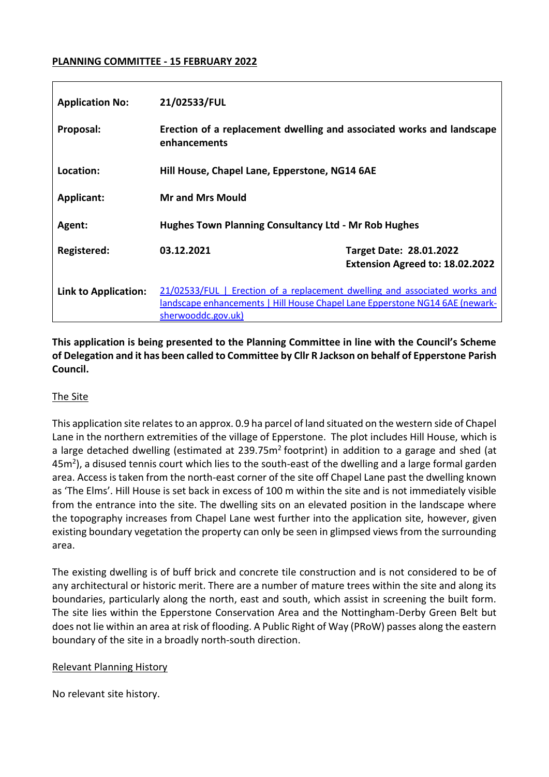#### **PLANNING COMMITTEE - 15 FEBRUARY 2022**

| <b>Application No:</b>      | 21/02533/FUL                                                                                                                                                                     |                                                                   |  |
|-----------------------------|----------------------------------------------------------------------------------------------------------------------------------------------------------------------------------|-------------------------------------------------------------------|--|
| Proposal:                   | Erection of a replacement dwelling and associated works and landscape<br>enhancements                                                                                            |                                                                   |  |
| Location:                   | Hill House, Chapel Lane, Epperstone, NG14 6AE                                                                                                                                    |                                                                   |  |
| <b>Applicant:</b>           | <b>Mr and Mrs Mould</b>                                                                                                                                                          |                                                                   |  |
| Agent:                      | <b>Hughes Town Planning Consultancy Ltd - Mr Rob Hughes</b>                                                                                                                      |                                                                   |  |
| Registered:                 | 03.12.2021                                                                                                                                                                       | <b>Target Date: 28.01.2022</b><br>Extension Agreed to: 18.02.2022 |  |
| <b>Link to Application:</b> | 21/02533/FUL   Erection of a replacement dwelling and associated works and<br>landscape enhancements   Hill House Chapel Lane Epperstone NG14 6AE (newark-<br>sherwooddc.gov.uk) |                                                                   |  |

**This application is being presented to the Planning Committee in line with the Council's Scheme of Delegation and it has been called to Committee by Cllr R Jackson on behalf of Epperstone Parish Council.** 

### The Site

This application site relates to an approx. 0.9 ha parcel of land situated on the western side of Chapel Lane in the northern extremities of the village of Epperstone. The plot includes Hill House, which is a large detached dwelling (estimated at 239.75m<sup>2</sup> footprint) in addition to a garage and shed (at 45 $m<sup>2</sup>$ ), a disused tennis court which lies to the south-east of the dwelling and a large formal garden area. Access is taken from the north-east corner of the site off Chapel Lane past the dwelling known as 'The Elms'. Hill House is set back in excess of 100 m within the site and is not immediately visible from the entrance into the site. The dwelling sits on an elevated position in the landscape where the topography increases from Chapel Lane west further into the application site, however, given existing boundary vegetation the property can only be seen in glimpsed views from the surrounding area.

The existing dwelling is of buff brick and concrete tile construction and is not considered to be of any architectural or historic merit. There are a number of mature trees within the site and along its boundaries, particularly along the north, east and south, which assist in screening the built form. The site lies within the Epperstone Conservation Area and the Nottingham-Derby Green Belt but does not lie within an area at risk of flooding. A Public Right of Way (PRoW) passes along the eastern boundary of the site in a broadly north-south direction.

#### Relevant Planning History

No relevant site history.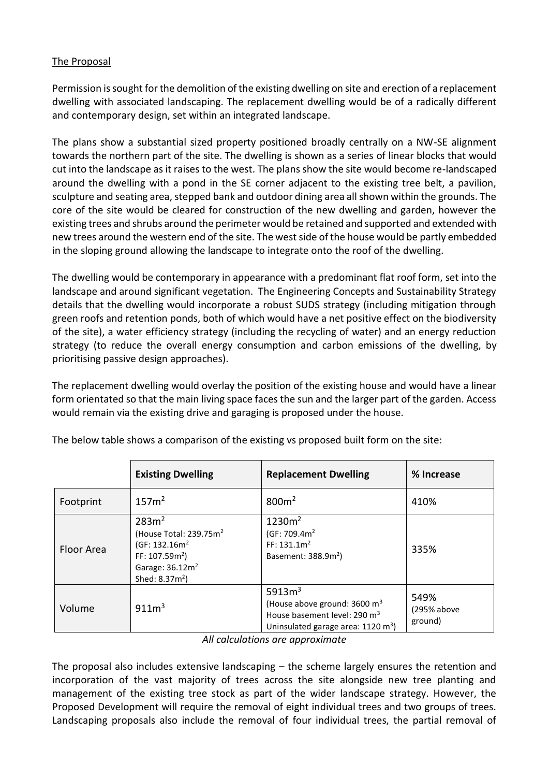### The Proposal

Permission is sought for the demolition of the existing dwelling on site and erection of a replacement dwelling with associated landscaping. The replacement dwelling would be of a radically different and contemporary design, set within an integrated landscape.

The plans show a substantial sized property positioned broadly centrally on a NW-SE alignment towards the northern part of the site. The dwelling is shown as a series of linear blocks that would cut into the landscape as it raises to the west. The plans show the site would become re-landscaped around the dwelling with a pond in the SE corner adjacent to the existing tree belt, a pavilion, sculpture and seating area, stepped bank and outdoor dining area all shown within the grounds. The core of the site would be cleared for construction of the new dwelling and garden, however the existing trees and shrubs around the perimeter would be retained and supported and extended with new trees around the western end of the site. The west side of the house would be partly embedded in the sloping ground allowing the landscape to integrate onto the roof of the dwelling.

The dwelling would be contemporary in appearance with a predominant flat roof form, set into the landscape and around significant vegetation. The Engineering Concepts and Sustainability Strategy details that the dwelling would incorporate a robust SUDS strategy (including mitigation through green roofs and retention ponds, both of which would have a net positive effect on the biodiversity of the site), a water efficiency strategy (including the recycling of water) and an energy reduction strategy (to reduce the overall energy consumption and carbon emissions of the dwelling, by prioritising passive design approaches).

The replacement dwelling would overlay the position of the existing house and would have a linear form orientated so that the main living space faces the sun and the larger part of the garden. Access would remain via the existing drive and garaging is proposed under the house.

|            | <b>Existing Dwelling</b>                                                                                                                                              | <b>Replacement Dwelling</b>                                                                                                                        | % Increase                     |
|------------|-----------------------------------------------------------------------------------------------------------------------------------------------------------------------|----------------------------------------------------------------------------------------------------------------------------------------------------|--------------------------------|
| Footprint  | 157m <sup>2</sup>                                                                                                                                                     | 800m <sup>2</sup>                                                                                                                                  | 410%                           |
| Floor Area | 283m <sup>2</sup><br>(House Total: 239.75m <sup>2</sup><br>(GF: 132.16m <sup>2</sup><br>FF: $107.59m2$ )<br>Garage: 36.12m <sup>2</sup><br>Shed: 8.37m <sup>2</sup> ) | 1230m <sup>2</sup><br>(GF: $709.4m2$<br>FF: 131.1m <sup>2</sup><br>Basement: 388.9m <sup>2</sup> )                                                 | 335%                           |
| Volume     | 911m <sup>3</sup>                                                                                                                                                     | 5913 $m3$<br>(House above ground: $3600 \text{ m}^3$<br>House basement level: 290 m <sup>3</sup><br>Uninsulated garage area: 1120 m <sup>3</sup> ) | 549%<br>(295% above<br>ground) |

The below table shows a comparison of the existing vs proposed built form on the site:

*All calculations are approximate*

The proposal also includes extensive landscaping – the scheme largely ensures the retention and incorporation of the vast majority of trees across the site alongside new tree planting and management of the existing tree stock as part of the wider landscape strategy. However, the Proposed Development will require the removal of eight individual trees and two groups of trees. Landscaping proposals also include the removal of four individual trees, the partial removal of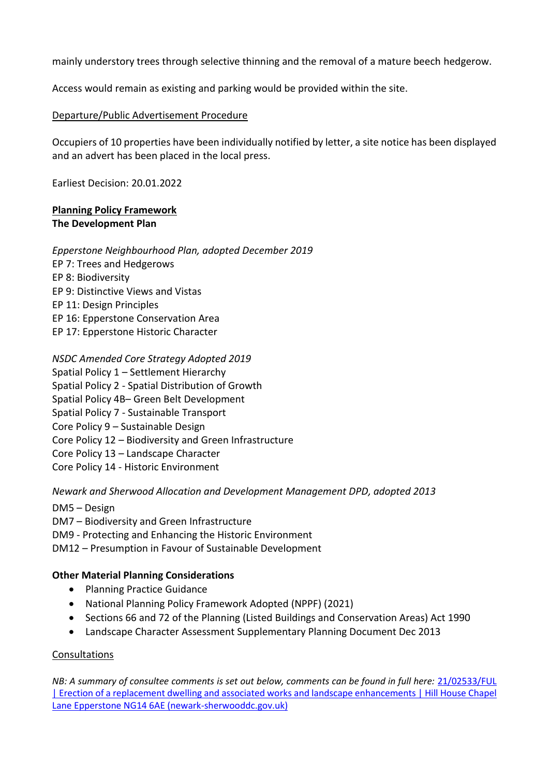mainly understory trees through selective thinning and the removal of a mature beech hedgerow.

Access would remain as existing and parking would be provided within the site.

### Departure/Public Advertisement Procedure

Occupiers of 10 properties have been individually notified by letter, a site notice has been displayed and an advert has been placed in the local press.

Earliest Decision: 20.01.2022

### **Planning Policy Framework The Development Plan**

*Epperstone Neighbourhood Plan, adopted December 2019* 

- EP 7: Trees and Hedgerows
- EP 8: Biodiversity
- EP 9: Distinctive Views and Vistas
- EP 11: Design Principles
- EP 16: Epperstone Conservation Area
- EP 17: Epperstone Historic Character

*NSDC Amended Core Strategy Adopted 2019* Spatial Policy 1 – Settlement Hierarchy

Spatial Policy 2 - Spatial Distribution of Growth

- Spatial Policy 4B– Green Belt Development
- Spatial Policy 7 Sustainable Transport
- Core Policy 9 Sustainable Design
- Core Policy 12 Biodiversity and Green Infrastructure
- Core Policy 13 Landscape Character
- Core Policy 14 Historic Environment

*Newark and Sherwood Allocation and Development Management DPD, adopted 2013* 

DM5 – Design

DM7 – Biodiversity and Green Infrastructure

DM9 - Protecting and Enhancing the Historic Environment

DM12 – Presumption in Favour of Sustainable Development

### **Other Material Planning Considerations**

- Planning Practice Guidance
- National Planning Policy Framework Adopted (NPPF) (2021)
- Sections 66 and 72 of the Planning (Listed Buildings and Conservation Areas) Act 1990
- Landscape Character Assessment Supplementary Planning Document Dec 2013

### Consultations

*NB: A summary of consultee comments is set out below, comments can be found in full here:* [21/02533/FUL](https://publicaccess.newark-sherwooddc.gov.uk/online-applications/applicationDetails.do?activeTab=documents&keyVal=R3H7HRLBIJI00)  [| Erection of a replacement dwelling and associated works and landscape enhancements | Hill House Chapel](https://publicaccess.newark-sherwooddc.gov.uk/online-applications/applicationDetails.do?activeTab=documents&keyVal=R3H7HRLBIJI00)  [Lane Epperstone NG14 6AE \(newark-sherwooddc.gov.uk\)](https://publicaccess.newark-sherwooddc.gov.uk/online-applications/applicationDetails.do?activeTab=documents&keyVal=R3H7HRLBIJI00)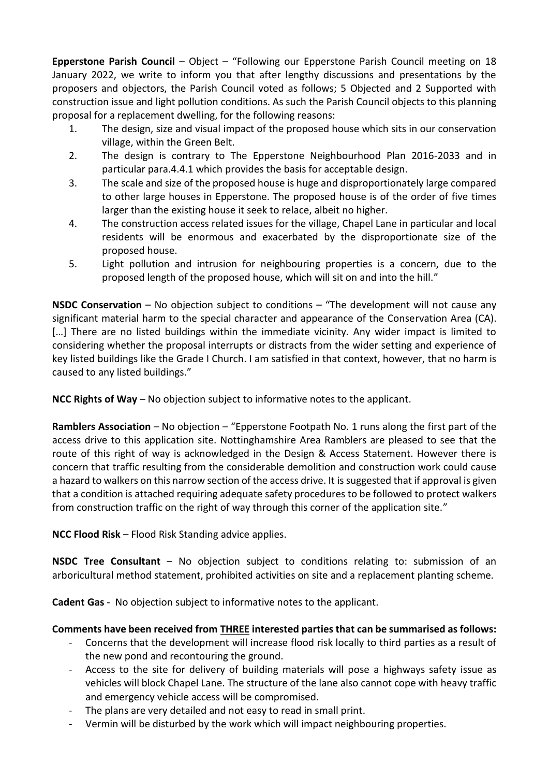**Epperstone Parish Council** – Object – "Following our Epperstone Parish Council meeting on 18 January 2022, we write to inform you that after lengthy discussions and presentations by the proposers and objectors, the Parish Council voted as follows; 5 Objected and 2 Supported with construction issue and light pollution conditions. As such the Parish Council objects to this planning proposal for a replacement dwelling, for the following reasons:

- 1. The design, size and visual impact of the proposed house which sits in our conservation village, within the Green Belt.
- 2. The design is contrary to The Epperstone Neighbourhood Plan 2016-2033 and in particular para.4.4.1 which provides the basis for acceptable design.
- 3. The scale and size of the proposed house is huge and disproportionately large compared to other large houses in Epperstone. The proposed house is of the order of five times larger than the existing house it seek to relace, albeit no higher.
- 4. The construction access related issues for the village, Chapel Lane in particular and local residents will be enormous and exacerbated by the disproportionate size of the proposed house.
- 5. Light pollution and intrusion for neighbouring properties is a concern, due to the proposed length of the proposed house, which will sit on and into the hill."

**NSDC Conservation** – No objection subject to conditions – "The development will not cause any significant material harm to the special character and appearance of the Conservation Area (CA). [...] There are no listed buildings within the immediate vicinity. Any wider impact is limited to considering whether the proposal interrupts or distracts from the wider setting and experience of key listed buildings like the Grade I Church. I am satisfied in that context, however, that no harm is caused to any listed buildings."

**NCC Rights of Way –** No objection subject to informative notes to the applicant.

**Ramblers Association** – No objection – "Epperstone Footpath No. 1 runs along the first part of the access drive to this application site. Nottinghamshire Area Ramblers are pleased to see that the route of this right of way is acknowledged in the Design & Access Statement. However there is concern that traffic resulting from the considerable demolition and construction work could cause a hazard to walkers on this narrow section of the access drive. It is suggested that if approval is given that a condition is attached requiring adequate safety procedures to be followed to protect walkers from construction traffic on the right of way through this corner of the application site."

**NCC Flood Risk** – Flood Risk Standing advice applies.

**NSDC Tree Consultant** – No objection subject to conditions relating to: submission of an arboricultural method statement, prohibited activities on site and a replacement planting scheme.

**Cadent Gas** - No objection subject to informative notes to the applicant.

# **Comments have been received from THREE interested parties that can be summarised as follows:**

- Concerns that the development will increase flood risk locally to third parties as a result of the new pond and recontouring the ground.
- Access to the site for delivery of building materials will pose a highways safety issue as vehicles will block Chapel Lane. The structure of the lane also cannot cope with heavy traffic and emergency vehicle access will be compromised.
- The plans are very detailed and not easy to read in small print.
- Vermin will be disturbed by the work which will impact neighbouring properties.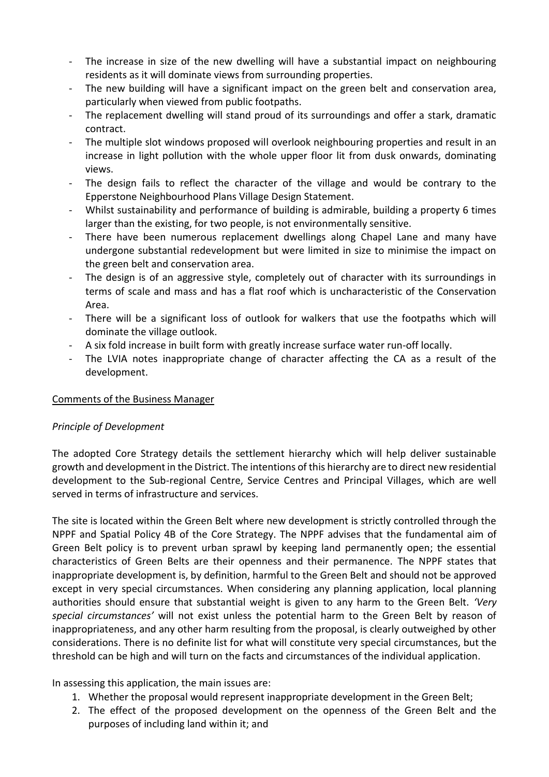- The increase in size of the new dwelling will have a substantial impact on neighbouring residents as it will dominate views from surrounding properties.
- The new building will have a significant impact on the green belt and conservation area, particularly when viewed from public footpaths.
- The replacement dwelling will stand proud of its surroundings and offer a stark, dramatic contract.
- The multiple slot windows proposed will overlook neighbouring properties and result in an increase in light pollution with the whole upper floor lit from dusk onwards, dominating views.
- The design fails to reflect the character of the village and would be contrary to the Epperstone Neighbourhood Plans Village Design Statement.
- Whilst sustainability and performance of building is admirable, building a property 6 times larger than the existing, for two people, is not environmentally sensitive.
- There have been numerous replacement dwellings along Chapel Lane and many have undergone substantial redevelopment but were limited in size to minimise the impact on the green belt and conservation area.
- The design is of an aggressive style, completely out of character with its surroundings in terms of scale and mass and has a flat roof which is uncharacteristic of the Conservation Area.
- There will be a significant loss of outlook for walkers that use the footpaths which will dominate the village outlook.
- A six fold increase in built form with greatly increase surface water run-off locally.
- The LVIA notes inappropriate change of character affecting the CA as a result of the development.

# Comments of the Business Manager

# *Principle of Development*

The adopted Core Strategy details the settlement hierarchy which will help deliver sustainable growth and development in the District. The intentions of this hierarchy are to direct new residential development to the Sub-regional Centre, Service Centres and Principal Villages, which are well served in terms of infrastructure and services.

The site is located within the Green Belt where new development is strictly controlled through the NPPF and Spatial Policy 4B of the Core Strategy. The NPPF advises that the fundamental aim of Green Belt policy is to prevent urban sprawl by keeping land permanently open; the essential characteristics of Green Belts are their openness and their permanence. The NPPF states that inappropriate development is, by definition, harmful to the Green Belt and should not be approved except in very special circumstances. When considering any planning application, local planning authorities should ensure that substantial weight is given to any harm to the Green Belt. *'Very special circumstances'* will not exist unless the potential harm to the Green Belt by reason of inappropriateness, and any other harm resulting from the proposal, is clearly outweighed by other considerations. There is no definite list for what will constitute very special circumstances, but the threshold can be high and will turn on the facts and circumstances of the individual application.

In assessing this application, the main issues are:

- 1. Whether the proposal would represent inappropriate development in the Green Belt;
- 2. The effect of the proposed development on the openness of the Green Belt and the purposes of including land within it; and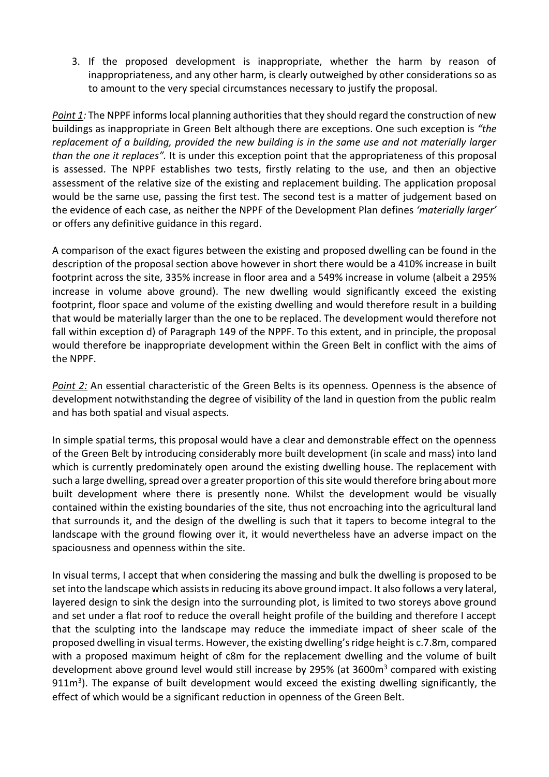3. If the proposed development is inappropriate, whether the harm by reason of inappropriateness, and any other harm, is clearly outweighed by other considerations so as to amount to the very special circumstances necessary to justify the proposal.

*Point 1:* The NPPF informs local planning authorities that they should regard the construction of new buildings as inappropriate in Green Belt although there are exceptions. One such exception is *"the replacement of a building, provided the new building is in the same use and not materially larger than the one it replaces".* It is under this exception point that the appropriateness of this proposal is assessed. The NPPF establishes two tests, firstly relating to the use, and then an objective assessment of the relative size of the existing and replacement building. The application proposal would be the same use, passing the first test. The second test is a matter of judgement based on the evidence of each case, as neither the NPPF of the Development Plan defines *'materially larger'* or offers any definitive guidance in this regard.

A comparison of the exact figures between the existing and proposed dwelling can be found in the description of the proposal section above however in short there would be a 410% increase in built footprint across the site, 335% increase in floor area and a 549% increase in volume (albeit a 295% increase in volume above ground). The new dwelling would significantly exceed the existing footprint, floor space and volume of the existing dwelling and would therefore result in a building that would be materially larger than the one to be replaced. The development would therefore not fall within exception d) of Paragraph 149 of the NPPF. To this extent, and in principle, the proposal would therefore be inappropriate development within the Green Belt in conflict with the aims of the NPPF.

*Point 2:* An essential characteristic of the Green Belts is its openness. Openness is the absence of development notwithstanding the degree of visibility of the land in question from the public realm and has both spatial and visual aspects.

In simple spatial terms, this proposal would have a clear and demonstrable effect on the openness of the Green Belt by introducing considerably more built development (in scale and mass) into land which is currently predominately open around the existing dwelling house. The replacement with such a large dwelling, spread over a greater proportion of this site would therefore bring about more built development where there is presently none. Whilst the development would be visually contained within the existing boundaries of the site, thus not encroaching into the agricultural land that surrounds it, and the design of the dwelling is such that it tapers to become integral to the landscape with the ground flowing over it, it would nevertheless have an adverse impact on the spaciousness and openness within the site.

In visual terms, I accept that when considering the massing and bulk the dwelling is proposed to be set into the landscape which assists in reducing its above ground impact. It also follows a very lateral, layered design to sink the design into the surrounding plot, is limited to two storeys above ground and set under a flat roof to reduce the overall height profile of the building and therefore I accept that the sculpting into the landscape may reduce the immediate impact of sheer scale of the proposed dwelling in visual terms. However, the existing dwelling's ridge height is c.7.8m, compared with a proposed maximum height of c8m for the replacement dwelling and the volume of built development above ground level would still increase by 295% (at 3600m<sup>3</sup> compared with existing 911m<sup>3</sup>). The expanse of built development would exceed the existing dwelling significantly, the effect of which would be a significant reduction in openness of the Green Belt.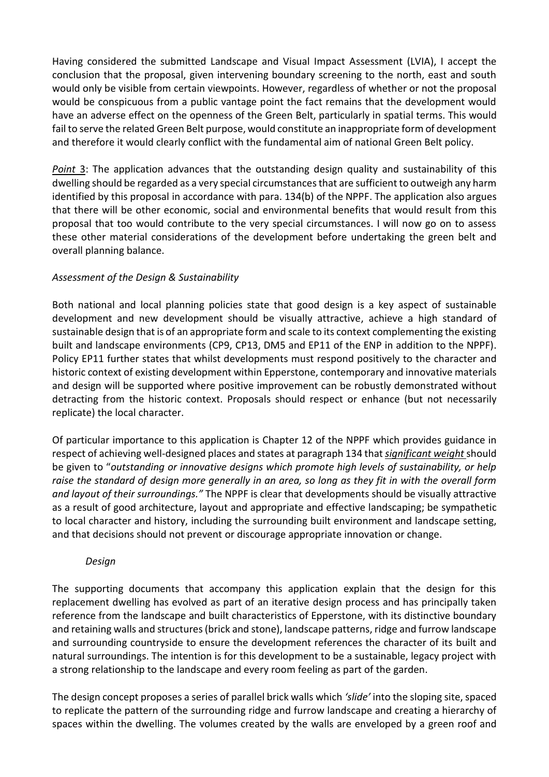Having considered the submitted Landscape and Visual Impact Assessment (LVIA), I accept the conclusion that the proposal, given intervening boundary screening to the north, east and south would only be visible from certain viewpoints. However, regardless of whether or not the proposal would be conspicuous from a public vantage point the fact remains that the development would have an adverse effect on the openness of the Green Belt, particularly in spatial terms. This would fail to serve the related Green Belt purpose, would constitute an inappropriate form of development and therefore it would clearly conflict with the fundamental aim of national Green Belt policy.

*Point* 3: The application advances that the outstanding design quality and sustainability of this dwelling should be regarded as a very special circumstancesthat are sufficient to outweigh any harm identified by this proposal in accordance with para. 134(b) of the NPPF. The application also argues that there will be other economic, social and environmental benefits that would result from this proposal that too would contribute to the very special circumstances. I will now go on to assess these other material considerations of the development before undertaking the green belt and overall planning balance.

# *Assessment of the Design & Sustainability*

Both national and local planning policies state that good design is a key aspect of sustainable development and new development should be visually attractive, achieve a high standard of sustainable design that is of an appropriate form and scale to its context complementing the existing built and landscape environments (CP9, CP13, DM5 and EP11 of the ENP in addition to the NPPF). Policy EP11 further states that whilst developments must respond positively to the character and historic context of existing development within Epperstone, contemporary and innovative materials and design will be supported where positive improvement can be robustly demonstrated without detracting from the historic context. Proposals should respect or enhance (but not necessarily replicate) the local character.

Of particular importance to this application is Chapter 12 of the NPPF which provides guidance in respect of achieving well-designed places and states at paragraph 134 that *significant weight* should be given to "*outstanding or innovative designs which promote high levels of sustainability, or help raise the standard of design more generally in an area, so long as they fit in with the overall form and layout of their surroundings."* The NPPF is clear that developments should be visually attractive as a result of good architecture, layout and appropriate and effective landscaping; be sympathetic to local character and history, including the surrounding built environment and landscape setting, and that decisions should not prevent or discourage appropriate innovation or change.

### *Design*

The supporting documents that accompany this application explain that the design for this replacement dwelling has evolved as part of an iterative design process and has principally taken reference from the landscape and built characteristics of Epperstone, with its distinctive boundary and retaining walls and structures (brick and stone), landscape patterns, ridge and furrow landscape and surrounding countryside to ensure the development references the character of its built and natural surroundings. The intention is for this development to be a sustainable, legacy project with a strong relationship to the landscape and every room feeling as part of the garden.

The design concept proposes a series of parallel brick walls which *'slide'* into the sloping site, spaced to replicate the pattern of the surrounding ridge and furrow landscape and creating a hierarchy of spaces within the dwelling. The volumes created by the walls are enveloped by a green roof and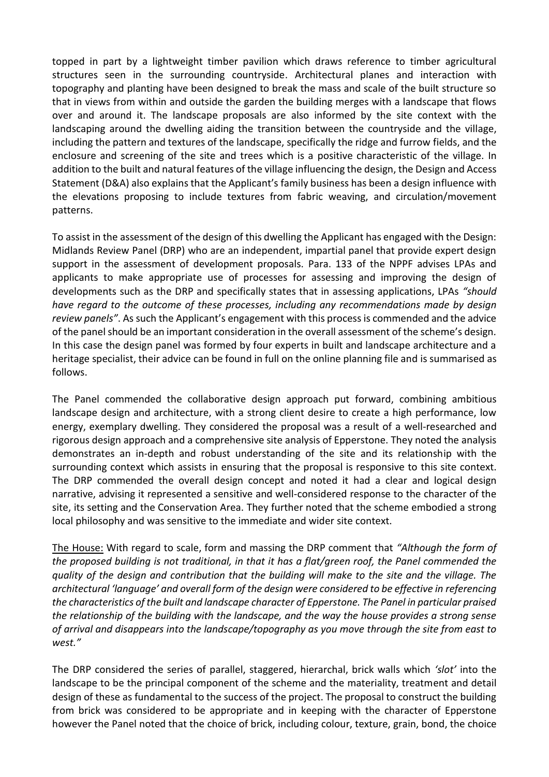topped in part by a lightweight timber pavilion which draws reference to timber agricultural structures seen in the surrounding countryside. Architectural planes and interaction with topography and planting have been designed to break the mass and scale of the built structure so that in views from within and outside the garden the building merges with a landscape that flows over and around it. The landscape proposals are also informed by the site context with the landscaping around the dwelling aiding the transition between the countryside and the village, including the pattern and textures of the landscape, specifically the ridge and furrow fields, and the enclosure and screening of the site and trees which is a positive characteristic of the village. In addition to the built and natural features of the village influencing the design, the Design and Access Statement (D&A) also explains that the Applicant's family business has been a design influence with the elevations proposing to include textures from fabric weaving, and circulation/movement patterns.

To assist in the assessment of the design of this dwelling the Applicant has engaged with the Design: Midlands Review Panel (DRP) who are an independent, impartial panel that provide expert design support in the assessment of development proposals. Para. 133 of the NPPF advises LPAs and applicants to make appropriate use of processes for assessing and improving the design of developments such as the DRP and specifically states that in assessing applications, LPAs *"should have regard to the outcome of these processes, including any recommendations made by design review panels"*. As such the Applicant's engagement with this process is commended and the advice of the panel should be an important consideration in the overall assessment of the scheme's design*.* In this case the design panel was formed by four experts in built and landscape architecture and a heritage specialist, their advice can be found in full on the online planning file and is summarised as follows.

The Panel commended the collaborative design approach put forward, combining ambitious landscape design and architecture, with a strong client desire to create a high performance, low energy, exemplary dwelling. They considered the proposal was a result of a well-researched and rigorous design approach and a comprehensive site analysis of Epperstone. They noted the analysis demonstrates an in-depth and robust understanding of the site and its relationship with the surrounding context which assists in ensuring that the proposal is responsive to this site context. The DRP commended the overall design concept and noted it had a clear and logical design narrative, advising it represented a sensitive and well-considered response to the character of the site, its setting and the Conservation Area. They further noted that the scheme embodied a strong local philosophy and was sensitive to the immediate and wider site context.

The House: With regard to scale, form and massing the DRP comment that *"Although the form of the proposed building is not traditional, in that it has a flat/green roof, the Panel commended the quality of the design and contribution that the building will make to the site and the village. The architectural 'language' and overall form of the design were considered to be effective in referencing the characteristics of the built and landscape character of Epperstone. The Panel in particular praised the relationship of the building with the landscape, and the way the house provides a strong sense of arrival and disappears into the landscape/topography as you move through the site from east to west."*

The DRP considered the series of parallel, staggered, hierarchal, brick walls which *'slot'* into the landscape to be the principal component of the scheme and the materiality, treatment and detail design of these as fundamental to the success of the project. The proposal to construct the building from brick was considered to be appropriate and in keeping with the character of Epperstone however the Panel noted that the choice of brick, including colour, texture, grain, bond, the choice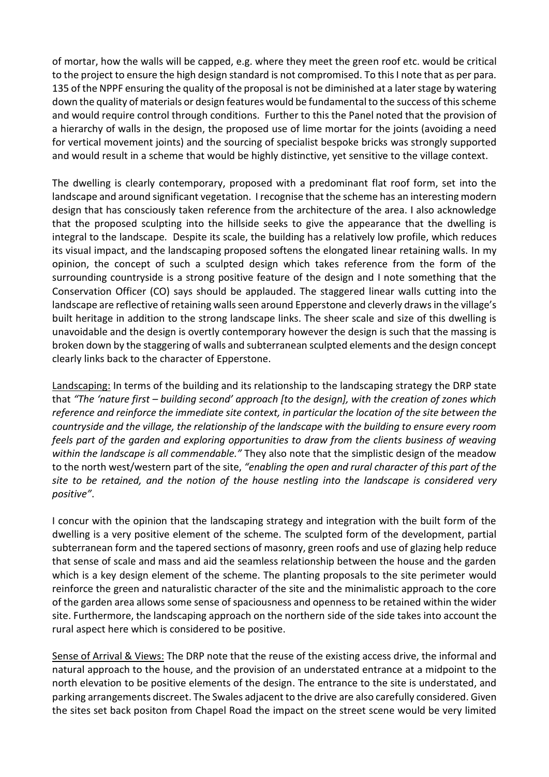of mortar, how the walls will be capped, e.g. where they meet the green roof etc. would be critical to the project to ensure the high design standard is not compromised. To this I note that as per para. 135 of the NPPF ensuring the quality of the proposal is not be diminished at a later stage by watering down the quality of materials or design features would be fundamental to the success of this scheme and would require control through conditions. Further to this the Panel noted that the provision of a hierarchy of walls in the design, the proposed use of lime mortar for the joints (avoiding a need for vertical movement joints) and the sourcing of specialist bespoke bricks was strongly supported and would result in a scheme that would be highly distinctive, yet sensitive to the village context.

The dwelling is clearly contemporary, proposed with a predominant flat roof form, set into the landscape and around significant vegetation. I recognise that the scheme has an interesting modern design that has consciously taken reference from the architecture of the area. I also acknowledge that the proposed sculpting into the hillside seeks to give the appearance that the dwelling is integral to the landscape. Despite its scale, the building has a relatively low profile, which reduces its visual impact, and the landscaping proposed softens the elongated linear retaining walls. In my opinion, the concept of such a sculpted design which takes reference from the form of the surrounding countryside is a strong positive feature of the design and I note something that the Conservation Officer (CO) says should be applauded. The staggered linear walls cutting into the landscape are reflective of retaining walls seen around Epperstone and cleverly drawsin the village's built heritage in addition to the strong landscape links. The sheer scale and size of this dwelling is unavoidable and the design is overtly contemporary however the design is such that the massing is broken down by the staggering of walls and subterranean sculpted elements and the design concept clearly links back to the character of Epperstone.

Landscaping: In terms of the building and its relationship to the landscaping strategy the DRP state that *"The 'nature first – building second' approach [to the design], with the creation of zones which reference and reinforce the immediate site context, in particular the location of the site between the countryside and the village, the relationship of the landscape with the building to ensure every room feels part of the garden and exploring opportunities to draw from the clients business of weaving within the landscape is all commendable."* They also note that the simplistic design of the meadow to the north west/western part of the site, *"enabling the open and rural character of this part of the site to be retained, and the notion of the house nestling into the landscape is considered very positive"*.

I concur with the opinion that the landscaping strategy and integration with the built form of the dwelling is a very positive element of the scheme. The sculpted form of the development, partial subterranean form and the tapered sections of masonry, green roofs and use of glazing help reduce that sense of scale and mass and aid the seamless relationship between the house and the garden which is a key design element of the scheme. The planting proposals to the site perimeter would reinforce the green and naturalistic character of the site and the minimalistic approach to the core of the garden area allows some sense of spaciousness and openness to be retained within the wider site. Furthermore, the landscaping approach on the northern side of the side takes into account the rural aspect here which is considered to be positive.

Sense of Arrival & Views: The DRP note that the reuse of the existing access drive, the informal and natural approach to the house, and the provision of an understated entrance at a midpoint to the north elevation to be positive elements of the design. The entrance to the site is understated, and parking arrangements discreet. The Swales adjacent to the drive are also carefully considered. Given the sites set back positon from Chapel Road the impact on the street scene would be very limited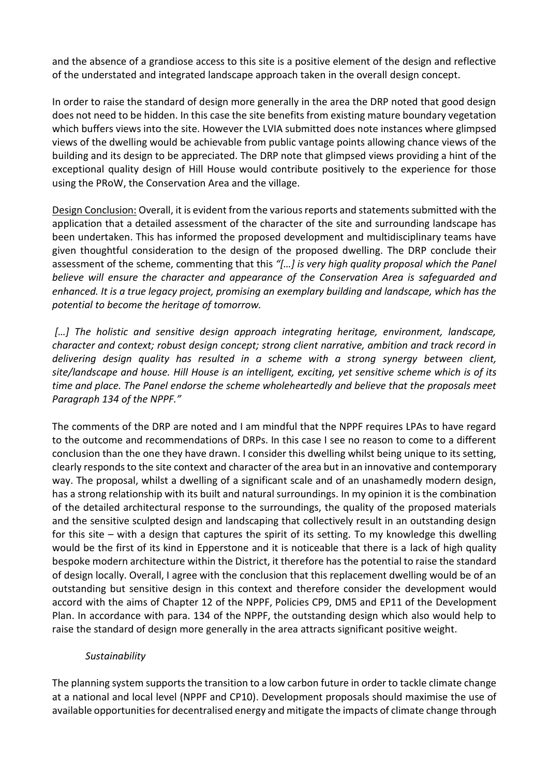and the absence of a grandiose access to this site is a positive element of the design and reflective of the understated and integrated landscape approach taken in the overall design concept.

In order to raise the standard of design more generally in the area the DRP noted that good design does not need to be hidden. In this case the site benefits from existing mature boundary vegetation which buffers views into the site. However the LVIA submitted does note instances where glimpsed views of the dwelling would be achievable from public vantage points allowing chance views of the building and its design to be appreciated. The DRP note that glimpsed views providing a hint of the exceptional quality design of Hill House would contribute positively to the experience for those using the PRoW, the Conservation Area and the village.

Design Conclusion: Overall, it is evident from the various reports and statements submitted with the application that a detailed assessment of the character of the site and surrounding landscape has been undertaken. This has informed the proposed development and multidisciplinary teams have given thoughtful consideration to the design of the proposed dwelling. The DRP conclude their assessment of the scheme, commenting that this *"[…] is very high quality proposal which the Panel believe will ensure the character and appearance of the Conservation Area is safeguarded and enhanced. It is a true legacy project, promising an exemplary building and landscape, which has the potential to become the heritage of tomorrow.*

[...] The holistic and sensitive design approach integrating heritage, environment, landscape, *character and context; robust design concept; strong client narrative, ambition and track record in delivering design quality has resulted in a scheme with a strong synergy between client, site/landscape and house. Hill House is an intelligent, exciting, yet sensitive scheme which is of its time and place. The Panel endorse the scheme wholeheartedly and believe that the proposals meet Paragraph 134 of the NPPF."*

The comments of the DRP are noted and I am mindful that the NPPF requires LPAs to have regard to the outcome and recommendations of DRPs. In this case I see no reason to come to a different conclusion than the one they have drawn. I consider this dwelling whilst being unique to its setting, clearly responds to the site context and character of the area but in an innovative and contemporary way. The proposal, whilst a dwelling of a significant scale and of an unashamedly modern design, has a strong relationship with its built and natural surroundings. In my opinion it is the combination of the detailed architectural response to the surroundings, the quality of the proposed materials and the sensitive sculpted design and landscaping that collectively result in an outstanding design for this site – with a design that captures the spirit of its setting. To my knowledge this dwelling would be the first of its kind in Epperstone and it is noticeable that there is a lack of high quality bespoke modern architecture within the District, it therefore has the potential to raise the standard of design locally. Overall, I agree with the conclusion that this replacement dwelling would be of an outstanding but sensitive design in this context and therefore consider the development would accord with the aims of Chapter 12 of the NPPF, Policies CP9, DM5 and EP11 of the Development Plan. In accordance with para. 134 of the NPPF, the outstanding design which also would help to raise the standard of design more generally in the area attracts significant positive weight.

### *Sustainability*

The planning system supports the transition to a low carbon future in order to tackle climate change at a national and local level (NPPF and CP10). Development proposals should maximise the use of available opportunities for decentralised energy and mitigate the impacts of climate change through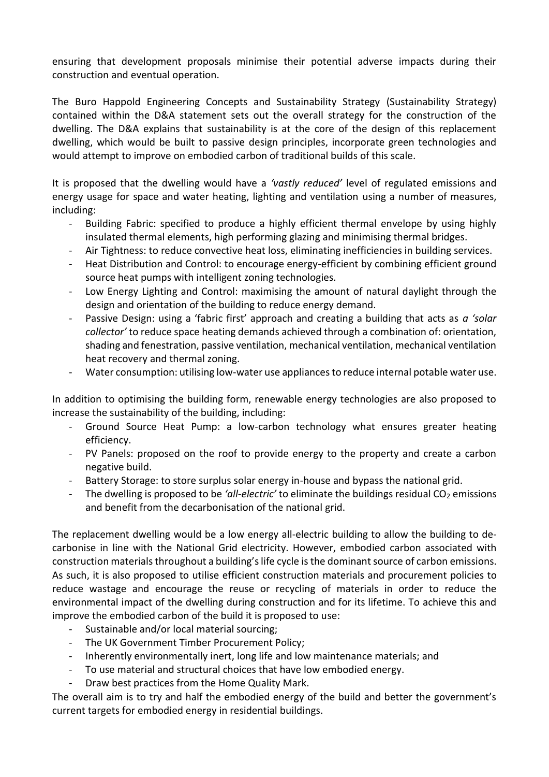ensuring that development proposals minimise their potential adverse impacts during their construction and eventual operation.

The Buro Happold Engineering Concepts and Sustainability Strategy (Sustainability Strategy) contained within the D&A statement sets out the overall strategy for the construction of the dwelling. The D&A explains that sustainability is at the core of the design of this replacement dwelling, which would be built to passive design principles, incorporate green technologies and would attempt to improve on embodied carbon of traditional builds of this scale.

It is proposed that the dwelling would have a *'vastly reduced'* level of regulated emissions and energy usage for space and water heating, lighting and ventilation using a number of measures, including:

- Building Fabric: specified to produce a highly efficient thermal envelope by using highly insulated thermal elements, high performing glazing and minimising thermal bridges.
- Air Tightness: to reduce convective heat loss, eliminating inefficiencies in building services.
- Heat Distribution and Control: to encourage energy-efficient by combining efficient ground source heat pumps with intelligent zoning technologies.
- Low Energy Lighting and Control: maximising the amount of natural daylight through the design and orientation of the building to reduce energy demand.
- Passive Design: using a 'fabric first' approach and creating a building that acts as *a 'solar collector'* to reduce space heating demands achieved through a combination of: orientation, shading and fenestration, passive ventilation, mechanical ventilation, mechanical ventilation heat recovery and thermal zoning.
- Water consumption: utilising low-water use appliances to reduce internal potable water use.

In addition to optimising the building form, renewable energy technologies are also proposed to increase the sustainability of the building, including:

- Ground Source Heat Pump: a low-carbon technology what ensures greater heating efficiency.
- PV Panels: proposed on the roof to provide energy to the property and create a carbon negative build.
- Battery Storage: to store surplus solar energy in-house and bypass the national grid.
- The dwelling is proposed to be 'all-electric' to eliminate the buildings residual CO<sub>2</sub> emissions and benefit from the decarbonisation of the national grid.

The replacement dwelling would be a low energy all-electric building to allow the building to decarbonise in line with the National Grid electricity. However, embodied carbon associated with construction materials throughout a building's life cycle is the dominant source of carbon emissions. As such, it is also proposed to utilise efficient construction materials and procurement policies to reduce wastage and encourage the reuse or recycling of materials in order to reduce the environmental impact of the dwelling during construction and for its lifetime. To achieve this and improve the embodied carbon of the build it is proposed to use:

- Sustainable and/or local material sourcing;
- The UK Government Timber Procurement Policy;
- Inherently environmentally inert, long life and low maintenance materials; and
- To use material and structural choices that have low embodied energy.
- Draw best practices from the Home Quality Mark.

The overall aim is to try and half the embodied energy of the build and better the government's current targets for embodied energy in residential buildings.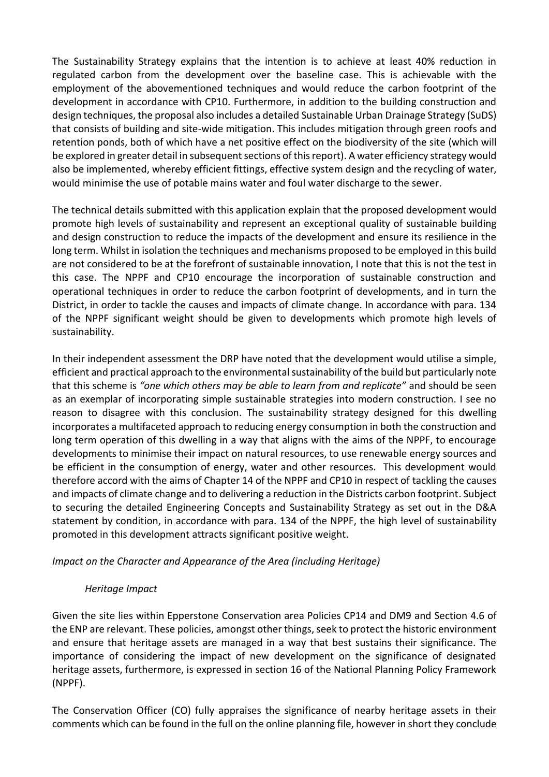The Sustainability Strategy explains that the intention is to achieve at least 40% reduction in regulated carbon from the development over the baseline case. This is achievable with the employment of the abovementioned techniques and would reduce the carbon footprint of the development in accordance with CP10. Furthermore, in addition to the building construction and design techniques, the proposal also includes a detailed Sustainable Urban Drainage Strategy (SuDS) that consists of building and site-wide mitigation. This includes mitigation through green roofs and retention ponds, both of which have a net positive effect on the biodiversity of the site (which will be explored in greater detail in subsequent sections of this report). A water efficiency strategy would also be implemented, whereby efficient fittings, effective system design and the recycling of water, would minimise the use of potable mains water and foul water discharge to the sewer.

The technical details submitted with this application explain that the proposed development would promote high levels of sustainability and represent an exceptional quality of sustainable building and design construction to reduce the impacts of the development and ensure its resilience in the long term. Whilst in isolation the techniques and mechanisms proposed to be employed in this build are not considered to be at the forefront of sustainable innovation, I note that this is not the test in this case. The NPPF and CP10 encourage the incorporation of sustainable construction and operational techniques in order to reduce the carbon footprint of developments, and in turn the District, in order to tackle the causes and impacts of climate change. In accordance with para. 134 of the NPPF significant weight should be given to developments which promote high levels of sustainability.

In their independent assessment the DRP have noted that the development would utilise a simple, efficient and practical approach to the environmental sustainability of the build but particularly note that this scheme is *"one which others may be able to learn from and replicate"* and should be seen as an exemplar of incorporating simple sustainable strategies into modern construction. I see no reason to disagree with this conclusion. The sustainability strategy designed for this dwelling incorporates a multifaceted approach to reducing energy consumption in both the construction and long term operation of this dwelling in a way that aligns with the aims of the NPPF, to encourage developments to minimise their impact on natural resources, to use renewable energy sources and be efficient in the consumption of energy, water and other resources. This development would therefore accord with the aims of Chapter 14 of the NPPF and CP10 in respect of tackling the causes and impacts of climate change and to delivering a reduction in the Districts carbon footprint. Subject to securing the detailed Engineering Concepts and Sustainability Strategy as set out in the D&A statement by condition, in accordance with para. 134 of the NPPF, the high level of sustainability promoted in this development attracts significant positive weight.

### *Impact on the Character and Appearance of the Area (including Heritage)*

#### *Heritage Impact*

Given the site lies within Epperstone Conservation area Policies CP14 and DM9 and Section 4.6 of the ENP are relevant. These policies, amongst other things, seek to protect the historic environment and ensure that heritage assets are managed in a way that best sustains their significance. The importance of considering the impact of new development on the significance of designated heritage assets, furthermore, is expressed in section 16 of the National Planning Policy Framework (NPPF).

The Conservation Officer (CO) fully appraises the significance of nearby heritage assets in their comments which can be found in the full on the online planning file, however in short they conclude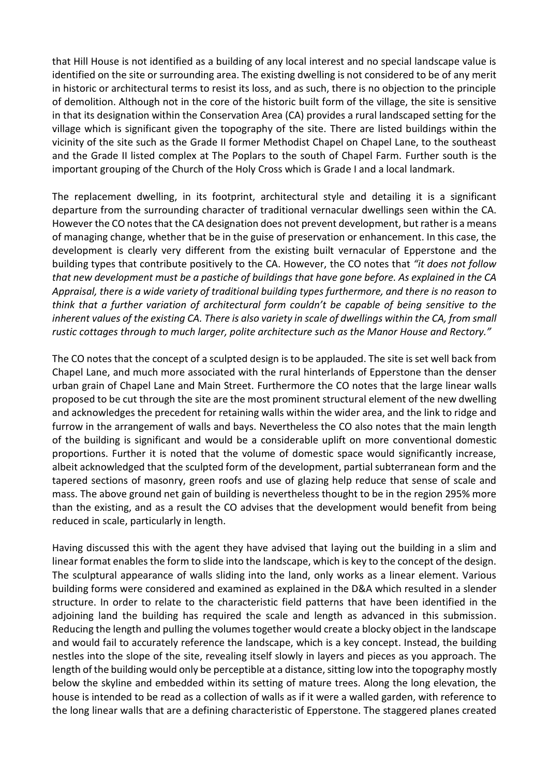that Hill House is not identified as a building of any local interest and no special landscape value is identified on the site or surrounding area. The existing dwelling is not considered to be of any merit in historic or architectural terms to resist its loss, and as such, there is no objection to the principle of demolition. Although not in the core of the historic built form of the village, the site is sensitive in that its designation within the Conservation Area (CA) provides a rural landscaped setting for the village which is significant given the topography of the site. There are listed buildings within the vicinity of the site such as the Grade II former Methodist Chapel on Chapel Lane, to the southeast and the Grade II listed complex at The Poplars to the south of Chapel Farm. Further south is the important grouping of the Church of the Holy Cross which is Grade I and a local landmark.

The replacement dwelling, in its footprint, architectural style and detailing it is a significant departure from the surrounding character of traditional vernacular dwellings seen within the CA. However the CO notes that the CA designation does not prevent development, but rather is a means of managing change, whether that be in the guise of preservation or enhancement. In this case, the development is clearly very different from the existing built vernacular of Epperstone and the building types that contribute positively to the CA. However, the CO notes that *"it does not follow that new development must be a pastiche of buildings that have gone before. As explained in the CA Appraisal, there is a wide variety of traditional building types furthermore, and there is no reason to think that a further variation of architectural form couldn't be capable of being sensitive to the inherent values of the existing CA. There is also variety in scale of dwellings within the CA, from small rustic cottages through to much larger, polite architecture such as the Manor House and Rectory."* 

The CO notes that the concept of a sculpted design is to be applauded. The site is set well back from Chapel Lane, and much more associated with the rural hinterlands of Epperstone than the denser urban grain of Chapel Lane and Main Street. Furthermore the CO notes that the large linear walls proposed to be cut through the site are the most prominent structural element of the new dwelling and acknowledges the precedent for retaining walls within the wider area, and the link to ridge and furrow in the arrangement of walls and bays. Nevertheless the CO also notes that the main length of the building is significant and would be a considerable uplift on more conventional domestic proportions. Further it is noted that the volume of domestic space would significantly increase, albeit acknowledged that the sculpted form of the development, partial subterranean form and the tapered sections of masonry, green roofs and use of glazing help reduce that sense of scale and mass. The above ground net gain of building is nevertheless thought to be in the region 295% more than the existing, and as a result the CO advises that the development would benefit from being reduced in scale, particularly in length.

Having discussed this with the agent they have advised that laying out the building in a slim and linear format enables the form to slide into the landscape, which is key to the concept of the design. The sculptural appearance of walls sliding into the land, only works as a linear element. Various building forms were considered and examined as explained in the D&A which resulted in a slender structure. In order to relate to the characteristic field patterns that have been identified in the adjoining land the building has required the scale and length as advanced in this submission. Reducing the length and pulling the volumes together would create a blocky object in the landscape and would fail to accurately reference the landscape, which is a key concept. Instead, the building nestles into the slope of the site, revealing itself slowly in layers and pieces as you approach. The length of the building would only be perceptible at a distance, sitting low into the topography mostly below the skyline and embedded within its setting of mature trees. Along the long elevation, the house is intended to be read as a collection of walls as if it were a walled garden, with reference to the long linear walls that are a defining characteristic of Epperstone. The staggered planes created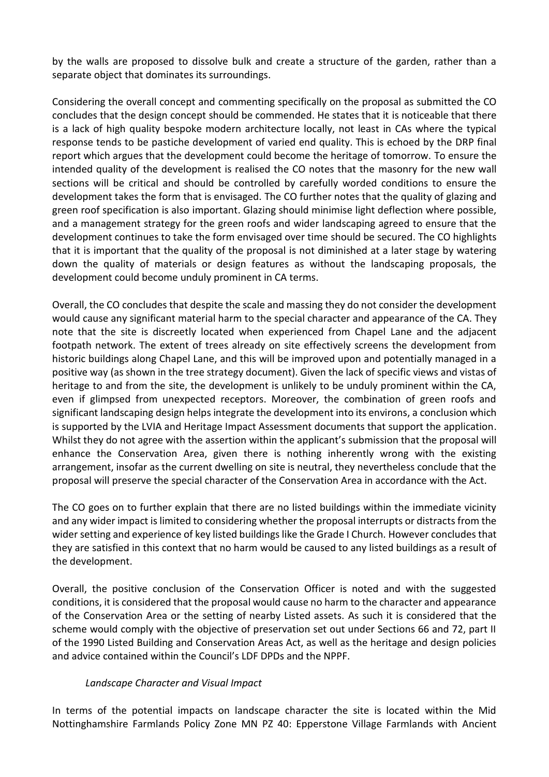by the walls are proposed to dissolve bulk and create a structure of the garden, rather than a separate object that dominates its surroundings.

Considering the overall concept and commenting specifically on the proposal as submitted the CO concludes that the design concept should be commended. He states that it is noticeable that there is a lack of high quality bespoke modern architecture locally, not least in CAs where the typical response tends to be pastiche development of varied end quality. This is echoed by the DRP final report which argues that the development could become the heritage of tomorrow. To ensure the intended quality of the development is realised the CO notes that the masonry for the new wall sections will be critical and should be controlled by carefully worded conditions to ensure the development takes the form that is envisaged. The CO further notes that the quality of glazing and green roof specification is also important. Glazing should minimise light deflection where possible, and a management strategy for the green roofs and wider landscaping agreed to ensure that the development continues to take the form envisaged over time should be secured. The CO highlights that it is important that the quality of the proposal is not diminished at a later stage by watering down the quality of materials or design features as without the landscaping proposals, the development could become unduly prominent in CA terms.

Overall, the CO concludes that despite the scale and massing they do not consider the development would cause any significant material harm to the special character and appearance of the CA. They note that the site is discreetly located when experienced from Chapel Lane and the adjacent footpath network. The extent of trees already on site effectively screens the development from historic buildings along Chapel Lane, and this will be improved upon and potentially managed in a positive way (as shown in the tree strategy document). Given the lack of specific views and vistas of heritage to and from the site, the development is unlikely to be unduly prominent within the CA, even if glimpsed from unexpected receptors. Moreover, the combination of green roofs and significant landscaping design helps integrate the development into its environs, a conclusion which is supported by the LVIA and Heritage Impact Assessment documents that support the application. Whilst they do not agree with the assertion within the applicant's submission that the proposal will enhance the Conservation Area, given there is nothing inherently wrong with the existing arrangement, insofar as the current dwelling on site is neutral, they nevertheless conclude that the proposal will preserve the special character of the Conservation Area in accordance with the Act.

The CO goes on to further explain that there are no listed buildings within the immediate vicinity and any wider impact is limited to considering whether the proposal interrupts or distracts from the wider setting and experience of key listed buildings like the Grade I Church. However concludes that they are satisfied in this context that no harm would be caused to any listed buildings as a result of the development.

Overall, the positive conclusion of the Conservation Officer is noted and with the suggested conditions, it is considered that the proposal would cause no harm to the character and appearance of the Conservation Area or the setting of nearby Listed assets. As such it is considered that the scheme would comply with the objective of preservation set out under Sections 66 and 72, part II of the 1990 Listed Building and Conservation Areas Act, as well as the heritage and design policies and advice contained within the Council's LDF DPDs and the NPPF.

### *Landscape Character and Visual Impact*

In terms of the potential impacts on landscape character the site is located within the Mid Nottinghamshire Farmlands Policy Zone MN PZ 40: Epperstone Village Farmlands with Ancient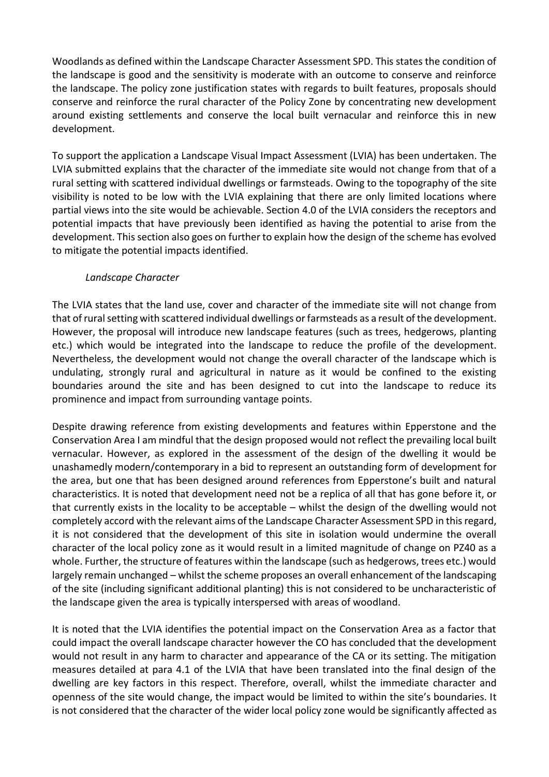Woodlands as defined within the Landscape Character Assessment SPD. This states the condition of the landscape is good and the sensitivity is moderate with an outcome to conserve and reinforce the landscape. The policy zone justification states with regards to built features, proposals should conserve and reinforce the rural character of the Policy Zone by concentrating new development around existing settlements and conserve the local built vernacular and reinforce this in new development.

To support the application a Landscape Visual Impact Assessment (LVIA) has been undertaken. The LVIA submitted explains that the character of the immediate site would not change from that of a rural setting with scattered individual dwellings or farmsteads. Owing to the topography of the site visibility is noted to be low with the LVIA explaining that there are only limited locations where partial views into the site would be achievable. Section 4.0 of the LVIA considers the receptors and potential impacts that have previously been identified as having the potential to arise from the development. This section also goes on further to explain how the design of the scheme has evolved to mitigate the potential impacts identified.

### *Landscape Character*

The LVIA states that the land use, cover and character of the immediate site will not change from that of rural setting with scattered individual dwellings or farmsteads as a result of the development. However, the proposal will introduce new landscape features (such as trees, hedgerows, planting etc.) which would be integrated into the landscape to reduce the profile of the development. Nevertheless, the development would not change the overall character of the landscape which is undulating, strongly rural and agricultural in nature as it would be confined to the existing boundaries around the site and has been designed to cut into the landscape to reduce its prominence and impact from surrounding vantage points.

Despite drawing reference from existing developments and features within Epperstone and the Conservation Area I am mindful that the design proposed would not reflect the prevailing local built vernacular. However, as explored in the assessment of the design of the dwelling it would be unashamedly modern/contemporary in a bid to represent an outstanding form of development for the area, but one that has been designed around references from Epperstone's built and natural characteristics. It is noted that development need not be a replica of all that has gone before it, or that currently exists in the locality to be acceptable – whilst the design of the dwelling would not completely accord with the relevant aims of the Landscape Character Assessment SPD in this regard, it is not considered that the development of this site in isolation would undermine the overall character of the local policy zone as it would result in a limited magnitude of change on PZ40 as a whole. Further, the structure of features within the landscape (such as hedgerows, trees etc.) would largely remain unchanged – whilst the scheme proposes an overall enhancement of the landscaping of the site (including significant additional planting) this is not considered to be uncharacteristic of the landscape given the area is typically interspersed with areas of woodland.

It is noted that the LVIA identifies the potential impact on the Conservation Area as a factor that could impact the overall landscape character however the CO has concluded that the development would not result in any harm to character and appearance of the CA or its setting. The mitigation measures detailed at para 4.1 of the LVIA that have been translated into the final design of the dwelling are key factors in this respect. Therefore, overall, whilst the immediate character and openness of the site would change, the impact would be limited to within the site's boundaries. It is not considered that the character of the wider local policy zone would be significantly affected as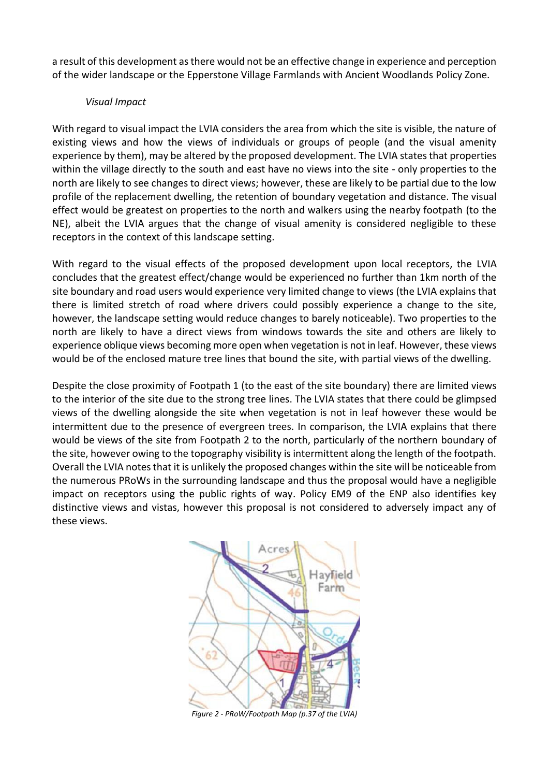a result of this development as there would not be an effective change in experience and perception of the wider landscape or the Epperstone Village Farmlands with Ancient Woodlands Policy Zone.

#### *Visual Impact*

With regard to visual impact the LVIA considers the area from which the site is visible, the nature of existing views and how the views of individuals or groups of people (and the visual amenity experience by them), may be altered by the proposed development. The LVIA states that properties within the village directly to the south and east have no views into the site - only properties to the north are likely to see changes to direct views; however, these are likely to be partial due to the low profile of the replacement dwelling, the retention of boundary vegetation and distance. The visual effect would be greatest on properties to the north and walkers using the nearby footpath (to the NE), albeit the LVIA argues that the change of visual amenity is considered negligible to these receptors in the context of this landscape setting.

With regard to the visual effects of the proposed development upon local receptors, the LVIA concludes that the greatest effect/change would be experienced no further than 1km north of the site boundary and road users would experience very limited change to views (the LVIA explains that there is limited stretch of road where drivers could possibly experience a change to the site, however, the landscape setting would reduce changes to barely noticeable). Two properties to the north are likely to have a direct views from windows towards the site and others are likely to experience oblique views becoming more open when vegetation is not in leaf. However, these views would be of the enclosed mature tree lines that bound the site, with partial views of the dwelling.

Despite the close proximity of Footpath 1 (to the east of the site boundary) there are limited views to the interior of the site due to the strong tree lines. The LVIA states that there could be glimpsed views of the dwelling alongside the site when vegetation is not in leaf however these would be intermittent due to the presence of evergreen trees. In comparison, the LVIA explains that there would be views of the site from Footpath 2 to the north, particularly of the northern boundary of the site, however owing to the topography visibility is intermittent along the length of the footpath. Overall the LVIA notes that it is unlikely the proposed changes within the site will be noticeable from the numerous PRoWs in the surrounding landscape and thus the proposal would have a negligible impact on receptors using the public rights of way. Policy EM9 of the ENP also identifies key distinctive views and vistas, however this proposal is not considered to adversely impact any of these views.



*Figure 2 - PRoW/Footpath Map (p.37 of the LVIA)*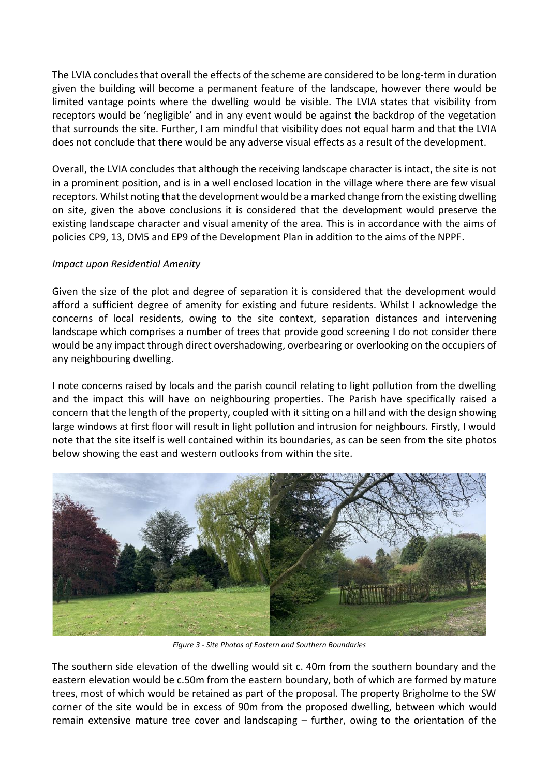The LVIA concludes that overall the effects of the scheme are considered to be long-term in duration given the building will become a permanent feature of the landscape, however there would be limited vantage points where the dwelling would be visible. The LVIA states that visibility from receptors would be 'negligible' and in any event would be against the backdrop of the vegetation that surrounds the site. Further, I am mindful that visibility does not equal harm and that the LVIA does not conclude that there would be any adverse visual effects as a result of the development.

Overall, the LVIA concludes that although the receiving landscape character is intact, the site is not in a prominent position, and is in a well enclosed location in the village where there are few visual receptors. Whilst noting that the development would be a marked change from the existing dwelling on site, given the above conclusions it is considered that the development would preserve the existing landscape character and visual amenity of the area. This is in accordance with the aims of policies CP9, 13, DM5 and EP9 of the Development Plan in addition to the aims of the NPPF.

### *Impact upon Residential Amenity*

Given the size of the plot and degree of separation it is considered that the development would afford a sufficient degree of amenity for existing and future residents. Whilst I acknowledge the concerns of local residents, owing to the site context, separation distances and intervening landscape which comprises a number of trees that provide good screening I do not consider there would be any impact through direct overshadowing, overbearing or overlooking on the occupiers of any neighbouring dwelling.

I note concerns raised by locals and the parish council relating to light pollution from the dwelling and the impact this will have on neighbouring properties. The Parish have specifically raised a concern that the length of the property, coupled with it sitting on a hill and with the design showing large windows at first floor will result in light pollution and intrusion for neighbours. Firstly, I would note that the site itself is well contained within its boundaries, as can be seen from the site photos below showing the east and western outlooks from within the site.



*Figure 3 - Site Photos of Eastern and Southern Boundaries*

The southern side elevation of the dwelling would sit c. 40m from the southern boundary and the eastern elevation would be c.50m from the eastern boundary, both of which are formed by mature trees, most of which would be retained as part of the proposal. The property Brigholme to the SW corner of the site would be in excess of 90m from the proposed dwelling, between which would remain extensive mature tree cover and landscaping – further, owing to the orientation of the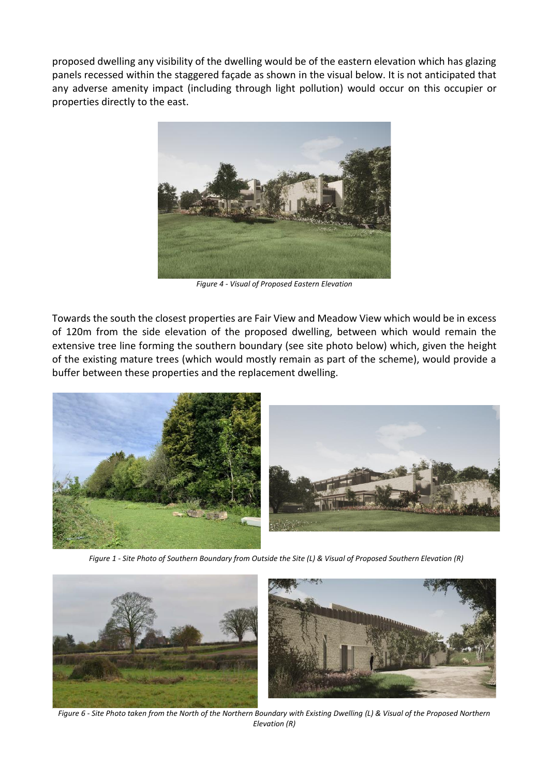proposed dwelling any visibility of the dwelling would be of the eastern elevation which has glazing panels recessed within the staggered façade as shown in the visual below. It is not anticipated that any adverse amenity impact (including through light pollution) would occur on this occupier or properties directly to the east.



*Figure 4 - Visual of Proposed Eastern Elevation*

Towards the south the closest properties are Fair View and Meadow View which would be in excess of 120m from the side elevation of the proposed dwelling, between which would remain the extensive tree line forming the southern boundary (see site photo below) which, given the height of the existing mature trees (which would mostly remain as part of the scheme), would provide a buffer between these properties and the replacement dwelling.



*Figure 1 - Site Photo of Southern Boundary from Outside the Site (L) & Visual of Proposed Southern Elevation (R)*



*Figure 6 - Site Photo taken from the North of the Northern Boundary with Existing Dwelling (L) & Visual of the Proposed Northern Elevation (R)*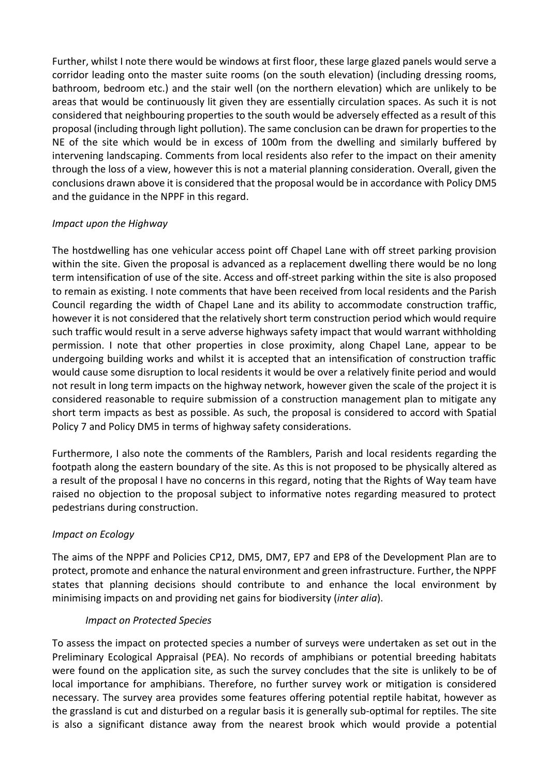Further, whilst I note there would be windows at first floor, these large glazed panels would serve a corridor leading onto the master suite rooms (on the south elevation) (including dressing rooms, bathroom, bedroom etc.) and the stair well (on the northern elevation) which are unlikely to be areas that would be continuously lit given they are essentially circulation spaces. As such it is not considered that neighbouring properties to the south would be adversely effected as a result of this proposal (including through light pollution). The same conclusion can be drawn for properties to the NE of the site which would be in excess of 100m from the dwelling and similarly buffered by intervening landscaping. Comments from local residents also refer to the impact on their amenity through the loss of a view, however this is not a material planning consideration. Overall, given the conclusions drawn above it is considered that the proposal would be in accordance with Policy DM5 and the guidance in the NPPF in this regard.

### *Impact upon the Highway*

The hostdwelling has one vehicular access point off Chapel Lane with off street parking provision within the site. Given the proposal is advanced as a replacement dwelling there would be no long term intensification of use of the site. Access and off-street parking within the site is also proposed to remain as existing. I note comments that have been received from local residents and the Parish Council regarding the width of Chapel Lane and its ability to accommodate construction traffic, however it is not considered that the relatively short term construction period which would require such traffic would result in a serve adverse highways safety impact that would warrant withholding permission. I note that other properties in close proximity, along Chapel Lane, appear to be undergoing building works and whilst it is accepted that an intensification of construction traffic would cause some disruption to local residents it would be over a relatively finite period and would not result in long term impacts on the highway network, however given the scale of the project it is considered reasonable to require submission of a construction management plan to mitigate any short term impacts as best as possible. As such, the proposal is considered to accord with Spatial Policy 7 and Policy DM5 in terms of highway safety considerations.

Furthermore, I also note the comments of the Ramblers, Parish and local residents regarding the footpath along the eastern boundary of the site. As this is not proposed to be physically altered as a result of the proposal I have no concerns in this regard, noting that the Rights of Way team have raised no objection to the proposal subject to informative notes regarding measured to protect pedestrians during construction.

### *Impact on Ecology*

The aims of the NPPF and Policies CP12, DM5, DM7, EP7 and EP8 of the Development Plan are to protect, promote and enhance the natural environment and green infrastructure. Further, the NPPF states that planning decisions should contribute to and enhance the local environment by minimising impacts on and providing net gains for biodiversity (*inter alia*).

#### *Impact on Protected Species*

To assess the impact on protected species a number of surveys were undertaken as set out in the Preliminary Ecological Appraisal (PEA). No records of amphibians or potential breeding habitats were found on the application site, as such the survey concludes that the site is unlikely to be of local importance for amphibians. Therefore, no further survey work or mitigation is considered necessary. The survey area provides some features offering potential reptile habitat, however as the grassland is cut and disturbed on a regular basis it is generally sub-optimal for reptiles. The site is also a significant distance away from the nearest brook which would provide a potential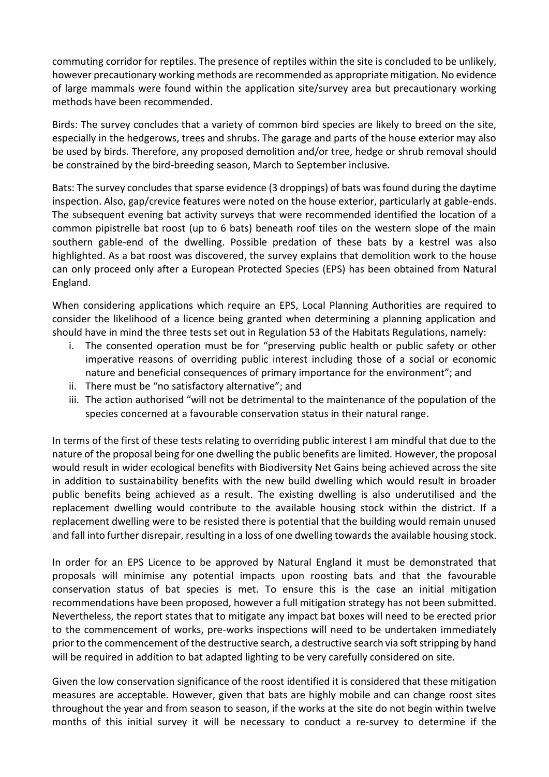commuting corridor for reptiles. The presence of reptiles within the site is concluded to be unlikely, however precautionary working methods are recommended as appropriate mitigation. No evidence of large mammals were found within the application site/survey area but precautionary working methods have been recommended.

Birds: The survey concludes that a variety of common bird species are likely to breed on the site, especially in the hedgerows, trees and shrubs. The garage and parts of the house exterior may also be used by birds. Therefore, any proposed demolition and/or tree, hedge or shrub removal should be constrained by the bird-breeding season, March to September inclusive.

Bats: The survey concludes that sparse evidence (3 droppings) of bats was found during the daytime inspection. Also, gap/crevice features were noted on the house exterior, particularly at gable-ends. The subsequent evening bat activity surveys that were recommended identified the location of a common pipistrelle bat roost (up to 6 bats) beneath roof tiles on the western slope of the main southern gable-end of the dwelling. Possible predation of these bats by a kestrel was also highlighted. As a bat roost was discovered, the survey explains that demolition work to the house can only proceed only after a European Protected Species (EPS) has been obtained from Natural England.

When considering applications which require an EPS, Local Planning Authorities are required to consider the likelihood of a licence being granted when determining a planning application and should have in mind the three tests set out in Regulation 53 of the Habitats Regulations, namely:

- i. The consented operation must be for "preserving public health or public safety or other imperative reasons of overriding public interest including those of a social or economic nature and beneficial consequences of primary importance for the environment"; and
- ii. There must be "no satisfactory alternative"; and
- iii. The action authorised "will not be detrimental to the maintenance of the population of the species concerned at a favourable conservation status in their natural range.

In terms of the first of these tests relating to overriding public interest I am mindful that due to the nature of the proposal being for one dwelling the public benefits are limited. However, the proposal would result in wider ecological benefits with Biodiversity Net Gains being achieved across the site in addition to sustainability benefits with the new build dwelling which would result in broader public benefits being achieved as a result. The existing dwelling is also underutilised and the replacement dwelling would contribute to the available housing stock within the district. If a replacement dwelling were to be resisted there is potential that the building would remain unused and fall into further disrepair, resulting in a loss of one dwelling towards the available housing stock.

In order for an EPS Licence to be approved by Natural England it must be demonstrated that proposals will minimise any potential impacts upon roosting bats and that the favourable conservation status of bat species is met. To ensure this is the case an initial mitigation recommendations have been proposed, however a full mitigation strategy has not been submitted. Nevertheless, the report states that to mitigate any impact bat boxes will need to be erected prior to the commencement of works, pre-works inspections will need to be undertaken immediately prior to the commencement of the destructive search, a destructive search via soft stripping by hand will be required in addition to bat adapted lighting to be very carefully considered on site.

Given the low conservation significance of the roost identified it is considered that these mitigation measures are acceptable. However, given that bats are highly mobile and can change roost sites throughout the year and from season to season, if the works at the site do not begin within twelve months of this initial survey it will be necessary to conduct a re-survey to determine if the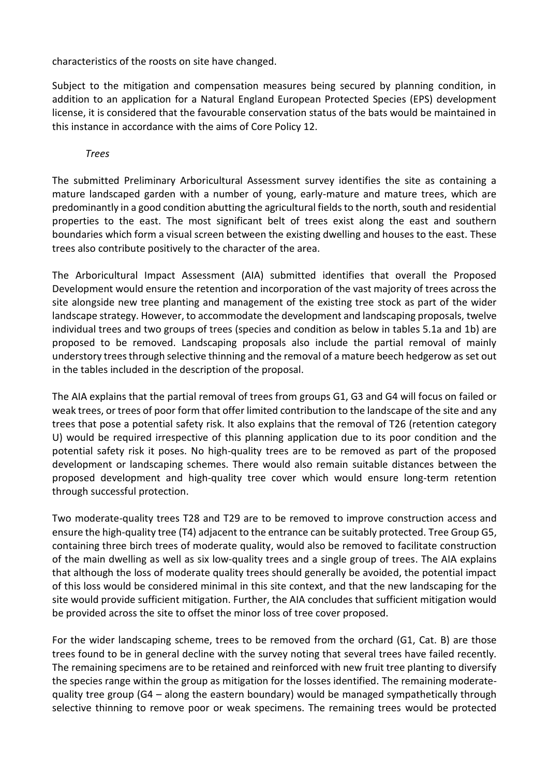characteristics of the roosts on site have changed.

Subject to the mitigation and compensation measures being secured by planning condition, in addition to an application for a Natural England European Protected Species (EPS) development license, it is considered that the favourable conservation status of the bats would be maintained in this instance in accordance with the aims of Core Policy 12.

*Trees*

The submitted Preliminary Arboricultural Assessment survey identifies the site as containing a mature landscaped garden with a number of young, early-mature and mature trees, which are predominantly in a good condition abutting the agricultural fields to the north, south and residential properties to the east. The most significant belt of trees exist along the east and southern boundaries which form a visual screen between the existing dwelling and houses to the east. These trees also contribute positively to the character of the area.

The Arboricultural Impact Assessment (AIA) submitted identifies that overall the Proposed Development would ensure the retention and incorporation of the vast majority of trees across the site alongside new tree planting and management of the existing tree stock as part of the wider landscape strategy. However, to accommodate the development and landscaping proposals, twelve individual trees and two groups of trees (species and condition as below in tables 5.1a and 1b) are proposed to be removed. Landscaping proposals also include the partial removal of mainly understory trees through selective thinning and the removal of a mature beech hedgerow as set out in the tables included in the description of the proposal.

The AIA explains that the partial removal of trees from groups G1, G3 and G4 will focus on failed or weak trees, or trees of poor form that offer limited contribution to the landscape of the site and any trees that pose a potential safety risk. It also explains that the removal of T26 (retention category U) would be required irrespective of this planning application due to its poor condition and the potential safety risk it poses. No high-quality trees are to be removed as part of the proposed development or landscaping schemes. There would also remain suitable distances between the proposed development and high-quality tree cover which would ensure long-term retention through successful protection.

Two moderate-quality trees T28 and T29 are to be removed to improve construction access and ensure the high-quality tree (T4) adjacent to the entrance can be suitably protected. Tree Group G5, containing three birch trees of moderate quality, would also be removed to facilitate construction of the main dwelling as well as six low-quality trees and a single group of trees. The AIA explains that although the loss of moderate quality trees should generally be avoided, the potential impact of this loss would be considered minimal in this site context, and that the new landscaping for the site would provide sufficient mitigation. Further, the AIA concludes that sufficient mitigation would be provided across the site to offset the minor loss of tree cover proposed.

For the wider landscaping scheme, trees to be removed from the orchard (G1, Cat. B) are those trees found to be in general decline with the survey noting that several trees have failed recently. The remaining specimens are to be retained and reinforced with new fruit tree planting to diversify the species range within the group as mitigation for the losses identified. The remaining moderatequality tree group (G4 – along the eastern boundary) would be managed sympathetically through selective thinning to remove poor or weak specimens. The remaining trees would be protected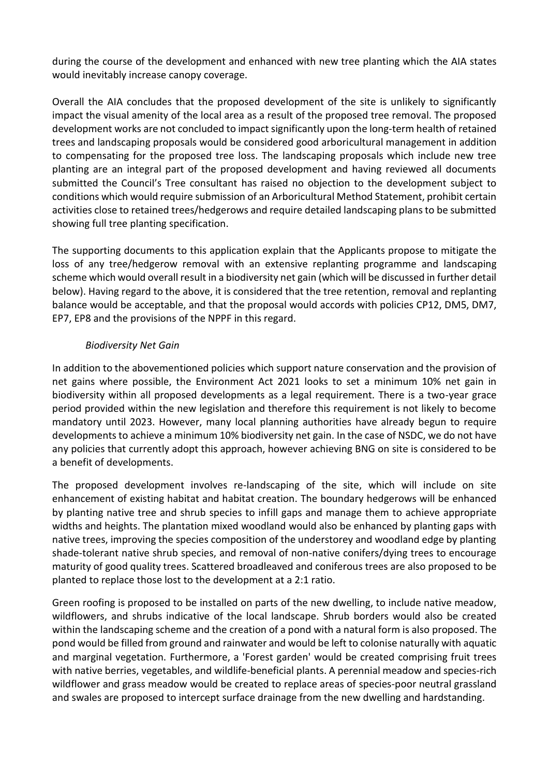during the course of the development and enhanced with new tree planting which the AIA states would inevitably increase canopy coverage.

Overall the AIA concludes that the proposed development of the site is unlikely to significantly impact the visual amenity of the local area as a result of the proposed tree removal. The proposed development works are not concluded to impact significantly upon the long-term health of retained trees and landscaping proposals would be considered good arboricultural management in addition to compensating for the proposed tree loss. The landscaping proposals which include new tree planting are an integral part of the proposed development and having reviewed all documents submitted the Council's Tree consultant has raised no objection to the development subject to conditions which would require submission of an Arboricultural Method Statement, prohibit certain activities close to retained trees/hedgerows and require detailed landscaping plans to be submitted showing full tree planting specification.

The supporting documents to this application explain that the Applicants propose to mitigate the loss of any tree/hedgerow removal with an extensive replanting programme and landscaping scheme which would overall result in a biodiversity net gain (which will be discussed in further detail below). Having regard to the above, it is considered that the tree retention, removal and replanting balance would be acceptable, and that the proposal would accords with policies CP12, DM5, DM7, EP7, EP8 and the provisions of the NPPF in this regard.

### *Biodiversity Net Gain*

In addition to the abovementioned policies which support nature conservation and the provision of net gains where possible, the Environment Act 2021 looks to set a minimum 10% net gain in biodiversity within all proposed developments as a legal requirement. There is a two-year grace period provided within the new legislation and therefore this requirement is not likely to become mandatory until 2023. However, many local planning authorities have already begun to require developments to achieve a minimum 10% biodiversity net gain. In the case of NSDC, we do not have any policies that currently adopt this approach, however achieving BNG on site is considered to be a benefit of developments.

The proposed development involves re-landscaping of the site, which will include on site enhancement of existing habitat and habitat creation. The boundary hedgerows will be enhanced by planting native tree and shrub species to infill gaps and manage them to achieve appropriate widths and heights. The plantation mixed woodland would also be enhanced by planting gaps with native trees, improving the species composition of the understorey and woodland edge by planting shade-tolerant native shrub species, and removal of non-native conifers/dying trees to encourage maturity of good quality trees. Scattered broadleaved and coniferous trees are also proposed to be planted to replace those lost to the development at a 2:1 ratio.

Green roofing is proposed to be installed on parts of the new dwelling, to include native meadow, wildflowers, and shrubs indicative of the local landscape. Shrub borders would also be created within the landscaping scheme and the creation of a pond with a natural form is also proposed. The pond would be filled from ground and rainwater and would be left to colonise naturally with aquatic and marginal vegetation. Furthermore, a 'Forest garden' would be created comprising fruit trees with native berries, vegetables, and wildlife-beneficial plants. A perennial meadow and species-rich wildflower and grass meadow would be created to replace areas of species-poor neutral grassland and swales are proposed to intercept surface drainage from the new dwelling and hardstanding.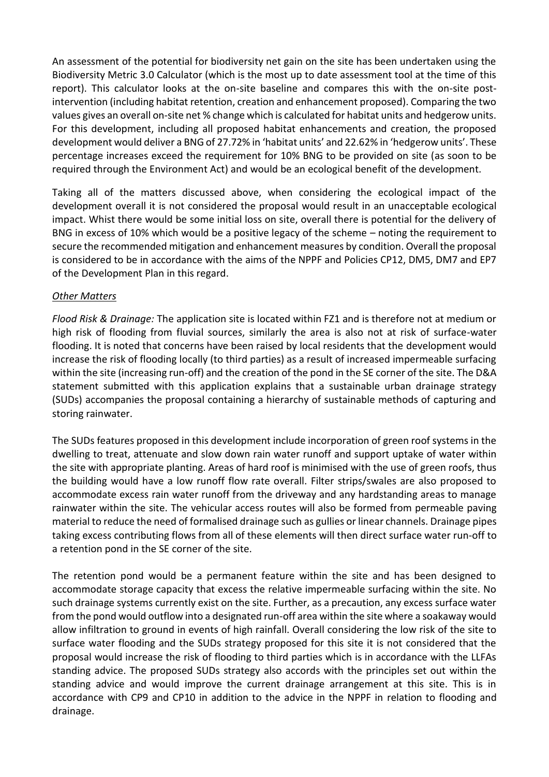An assessment of the potential for biodiversity net gain on the site has been undertaken using the Biodiversity Metric 3.0 Calculator (which is the most up to date assessment tool at the time of this report). This calculator looks at the on-site baseline and compares this with the on-site postintervention (including habitat retention, creation and enhancement proposed). Comparing the two values gives an overall on-site net % change which is calculated for habitat units and hedgerow units. For this development, including all proposed habitat enhancements and creation, the proposed development would deliver a BNG of 27.72% in 'habitat units' and 22.62% in 'hedgerow units'. These percentage increases exceed the requirement for 10% BNG to be provided on site (as soon to be required through the Environment Act) and would be an ecological benefit of the development.

Taking all of the matters discussed above, when considering the ecological impact of the development overall it is not considered the proposal would result in an unacceptable ecological impact. Whist there would be some initial loss on site, overall there is potential for the delivery of BNG in excess of 10% which would be a positive legacy of the scheme – noting the requirement to secure the recommended mitigation and enhancement measures by condition. Overall the proposal is considered to be in accordance with the aims of the NPPF and Policies CP12, DM5, DM7 and EP7 of the Development Plan in this regard.

### *Other Matters*

*Flood Risk & Drainage:* The application site is located within FZ1 and is therefore not at medium or high risk of flooding from fluvial sources, similarly the area is also not at risk of surface-water flooding. It is noted that concerns have been raised by local residents that the development would increase the risk of flooding locally (to third parties) as a result of increased impermeable surfacing within the site (increasing run-off) and the creation of the pond in the SE corner of the site. The D&A statement submitted with this application explains that a sustainable urban drainage strategy (SUDs) accompanies the proposal containing a hierarchy of sustainable methods of capturing and storing rainwater.

The SUDs features proposed in this development include incorporation of green roof systems in the dwelling to treat, attenuate and slow down rain water runoff and support uptake of water within the site with appropriate planting. Areas of hard roof is minimised with the use of green roofs, thus the building would have a low runoff flow rate overall. Filter strips/swales are also proposed to accommodate excess rain water runoff from the driveway and any hardstanding areas to manage rainwater within the site. The vehicular access routes will also be formed from permeable paving material to reduce the need of formalised drainage such as gullies or linear channels. Drainage pipes taking excess contributing flows from all of these elements will then direct surface water run-off to a retention pond in the SE corner of the site.

The retention pond would be a permanent feature within the site and has been designed to accommodate storage capacity that excess the relative impermeable surfacing within the site. No such drainage systems currently exist on the site. Further, as a precaution, any excess surface water from the pond would outflow into a designated run-off area within the site where a soakaway would allow infiltration to ground in events of high rainfall. Overall considering the low risk of the site to surface water flooding and the SUDs strategy proposed for this site it is not considered that the proposal would increase the risk of flooding to third parties which is in accordance with the LLFAs standing advice. The proposed SUDs strategy also accords with the principles set out within the standing advice and would improve the current drainage arrangement at this site. This is in accordance with CP9 and CP10 in addition to the advice in the NPPF in relation to flooding and drainage.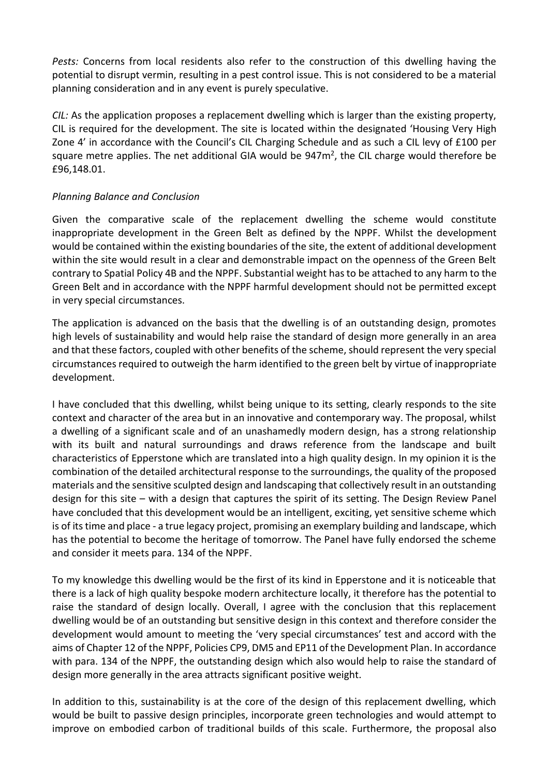*Pests:* Concerns from local residents also refer to the construction of this dwelling having the potential to disrupt vermin, resulting in a pest control issue. This is not considered to be a material planning consideration and in any event is purely speculative.

*CIL:* As the application proposes a replacement dwelling which is larger than the existing property, CIL is required for the development. The site is located within the designated 'Housing Very High Zone 4' in accordance with the Council's CIL Charging Schedule and as such a CIL levy of £100 per square metre applies. The net additional GIA would be  $947m^2$ , the CIL charge would therefore be £96,148.01.

### *Planning Balance and Conclusion*

Given the comparative scale of the replacement dwelling the scheme would constitute inappropriate development in the Green Belt as defined by the NPPF. Whilst the development would be contained within the existing boundaries of the site, the extent of additional development within the site would result in a clear and demonstrable impact on the openness of the Green Belt contrary to Spatial Policy 4B and the NPPF. Substantial weight has to be attached to any harm to the Green Belt and in accordance with the NPPF harmful development should not be permitted except in very special circumstances.

The application is advanced on the basis that the dwelling is of an outstanding design, promotes high levels of sustainability and would help raise the standard of design more generally in an area and that these factors, coupled with other benefits of the scheme, should represent the very special circumstances required to outweigh the harm identified to the green belt by virtue of inappropriate development.

I have concluded that this dwelling, whilst being unique to its setting, clearly responds to the site context and character of the area but in an innovative and contemporary way. The proposal, whilst a dwelling of a significant scale and of an unashamedly modern design, has a strong relationship with its built and natural surroundings and draws reference from the landscape and built characteristics of Epperstone which are translated into a high quality design. In my opinion it is the combination of the detailed architectural response to the surroundings, the quality of the proposed materials and the sensitive sculpted design and landscaping that collectively result in an outstanding design for this site – with a design that captures the spirit of its setting. The Design Review Panel have concluded that this development would be an intelligent, exciting, yet sensitive scheme which is of its time and place - a true legacy project, promising an exemplary building and landscape, which has the potential to become the heritage of tomorrow. The Panel have fully endorsed the scheme and consider it meets para. 134 of the NPPF.

To my knowledge this dwelling would be the first of its kind in Epperstone and it is noticeable that there is a lack of high quality bespoke modern architecture locally, it therefore has the potential to raise the standard of design locally. Overall, I agree with the conclusion that this replacement dwelling would be of an outstanding but sensitive design in this context and therefore consider the development would amount to meeting the 'very special circumstances' test and accord with the aims of Chapter 12 of the NPPF, Policies CP9, DM5 and EP11 of the Development Plan. In accordance with para. 134 of the NPPF, the outstanding design which also would help to raise the standard of design more generally in the area attracts significant positive weight.

In addition to this, sustainability is at the core of the design of this replacement dwelling, which would be built to passive design principles, incorporate green technologies and would attempt to improve on embodied carbon of traditional builds of this scale. Furthermore, the proposal also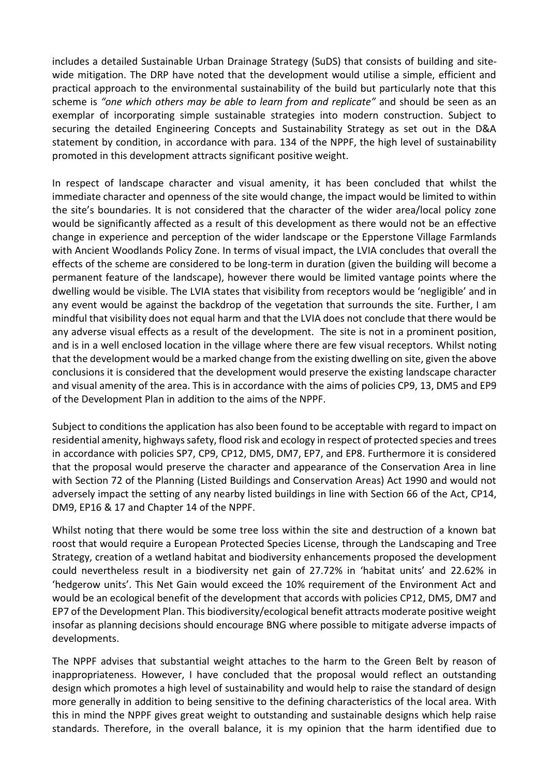includes a detailed Sustainable Urban Drainage Strategy (SuDS) that consists of building and sitewide mitigation. The DRP have noted that the development would utilise a simple, efficient and practical approach to the environmental sustainability of the build but particularly note that this scheme is *"one which others may be able to learn from and replicate"* and should be seen as an exemplar of incorporating simple sustainable strategies into modern construction. Subject to securing the detailed Engineering Concepts and Sustainability Strategy as set out in the D&A statement by condition, in accordance with para. 134 of the NPPF, the high level of sustainability promoted in this development attracts significant positive weight.

In respect of landscape character and visual amenity, it has been concluded that whilst the immediate character and openness of the site would change, the impact would be limited to within the site's boundaries. It is not considered that the character of the wider area/local policy zone would be significantly affected as a result of this development as there would not be an effective change in experience and perception of the wider landscape or the Epperstone Village Farmlands with Ancient Woodlands Policy Zone. In terms of visual impact, the LVIA concludes that overall the effects of the scheme are considered to be long-term in duration (given the building will become a permanent feature of the landscape), however there would be limited vantage points where the dwelling would be visible. The LVIA states that visibility from receptors would be 'negligible' and in any event would be against the backdrop of the vegetation that surrounds the site. Further, I am mindful that visibility does not equal harm and that the LVIA does not conclude that there would be any adverse visual effects as a result of the development. The site is not in a prominent position, and is in a well enclosed location in the village where there are few visual receptors. Whilst noting that the development would be a marked change from the existing dwelling on site, given the above conclusions it is considered that the development would preserve the existing landscape character and visual amenity of the area. This is in accordance with the aims of policies CP9, 13, DM5 and EP9 of the Development Plan in addition to the aims of the NPPF.

Subject to conditions the application has also been found to be acceptable with regard to impact on residential amenity, highways safety, flood risk and ecology in respect of protected species and trees in accordance with policies SP7, CP9, CP12, DM5, DM7, EP7, and EP8. Furthermore it is considered that the proposal would preserve the character and appearance of the Conservation Area in line with Section 72 of the Planning (Listed Buildings and Conservation Areas) Act 1990 and would not adversely impact the setting of any nearby listed buildings in line with Section 66 of the Act, CP14, DM9, EP16 & 17 and Chapter 14 of the NPPF.

Whilst noting that there would be some tree loss within the site and destruction of a known bat roost that would require a European Protected Species License, through the Landscaping and Tree Strategy, creation of a wetland habitat and biodiversity enhancements proposed the development could nevertheless result in a biodiversity net gain of 27.72% in 'habitat units' and 22.62% in 'hedgerow units'. This Net Gain would exceed the 10% requirement of the Environment Act and would be an ecological benefit of the development that accords with policies CP12, DM5, DM7 and EP7 of the Development Plan. This biodiversity/ecological benefit attracts moderate positive weight insofar as planning decisions should encourage BNG where possible to mitigate adverse impacts of developments.

The NPPF advises that substantial weight attaches to the harm to the Green Belt by reason of inappropriateness. However, I have concluded that the proposal would reflect an outstanding design which promotes a high level of sustainability and would help to raise the standard of design more generally in addition to being sensitive to the defining characteristics of the local area. With this in mind the NPPF gives great weight to outstanding and sustainable designs which help raise standards. Therefore, in the overall balance, it is my opinion that the harm identified due to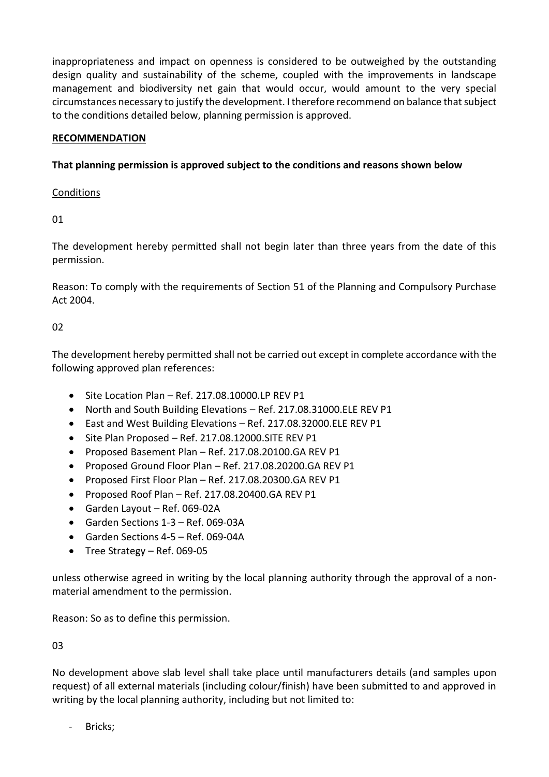inappropriateness and impact on openness is considered to be outweighed by the outstanding design quality and sustainability of the scheme, coupled with the improvements in landscape management and biodiversity net gain that would occur, would amount to the very special circumstances necessary to justify the development. I therefore recommend on balance that subject to the conditions detailed below, planning permission is approved.

### **RECOMMENDATION**

### **That planning permission is approved subject to the conditions and reasons shown below**

### **Conditions**

01

The development hereby permitted shall not begin later than three years from the date of this permission.

Reason: To comply with the requirements of Section 51 of the Planning and Compulsory Purchase Act 2004.

### $02$

The development hereby permitted shall not be carried out except in complete accordance with the following approved plan references:

- $\bullet$  Site Location Plan Ref. 217.08.10000.LP REV P1
- North and South Building Elevations Ref. 217.08.31000.ELE REV P1
- East and West Building Elevations Ref. 217.08.32000.ELE REV P1
- Site Plan Proposed Ref. 217.08.12000.SITE REV P1
- Proposed Basement Plan Ref. 217.08.20100.GA REV P1
- Proposed Ground Floor Plan Ref. 217.08.20200.GA REV P1
- Proposed First Floor Plan Ref. 217.08.20300.GA REV P1
- $\bullet$  Proposed Roof Plan Ref. 217.08.20400.GA REV P1
- Garden Layout Ref. 069-02A
- Garden Sections 1-3 Ref. 069-03A
- Garden Sections 4-5 Ref. 069-04A
- $\bullet$  Tree Strategy Ref. 069-05

unless otherwise agreed in writing by the local planning authority through the approval of a nonmaterial amendment to the permission.

Reason: So as to define this permission.

03

No development above slab level shall take place until manufacturers details (and samples upon request) of all external materials (including colour/finish) have been submitted to and approved in writing by the local planning authority, including but not limited to:

Bricks;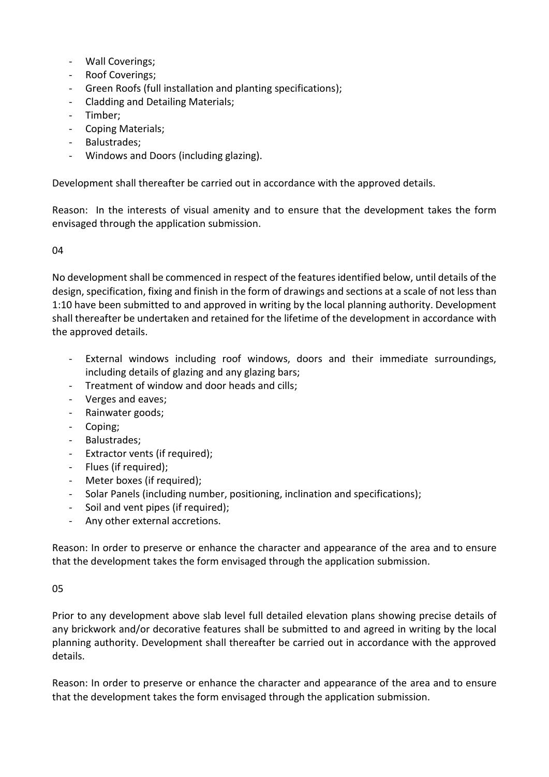- Wall Coverings;
- Roof Coverings;
- Green Roofs (full installation and planting specifications);
- Cladding and Detailing Materials;
- Timber;
- Coping Materials;
- Balustrades;
- Windows and Doors (including glazing).

Development shall thereafter be carried out in accordance with the approved details.

Reason: In the interests of visual amenity and to ensure that the development takes the form envisaged through the application submission.

#### 04

No development shall be commenced in respect of the features identified below, until details of the design, specification, fixing and finish in the form of drawings and sections at a scale of not less than 1:10 have been submitted to and approved in writing by the local planning authority. Development shall thereafter be undertaken and retained for the lifetime of the development in accordance with the approved details.

- External windows including roof windows, doors and their immediate surroundings, including details of glazing and any glazing bars;
- Treatment of window and door heads and cills;
- Verges and eaves;
- Rainwater goods;
- Coping;
- Balustrades;
- Extractor vents (if required);
- Flues (if required);
- Meter boxes (if required);
- Solar Panels (including number, positioning, inclination and specifications);
- Soil and vent pipes (if required);
- Any other external accretions.

Reason: In order to preserve or enhance the character and appearance of the area and to ensure that the development takes the form envisaged through the application submission.

#### 05

Prior to any development above slab level full detailed elevation plans showing precise details of any brickwork and/or decorative features shall be submitted to and agreed in writing by the local planning authority. Development shall thereafter be carried out in accordance with the approved details.

Reason: In order to preserve or enhance the character and appearance of the area and to ensure that the development takes the form envisaged through the application submission.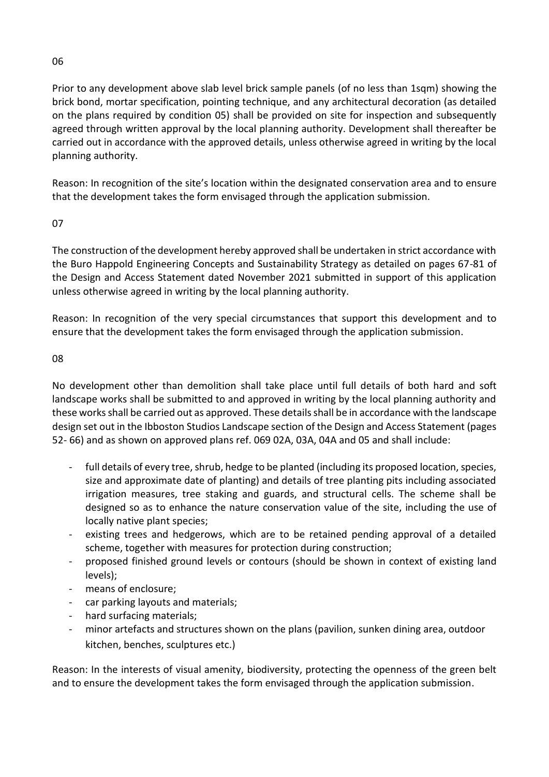#### 06

Prior to any development above slab level brick sample panels (of no less than 1sqm) showing the brick bond, mortar specification, pointing technique, and any architectural decoration (as detailed on the plans required by condition 05) shall be provided on site for inspection and subsequently agreed through written approval by the local planning authority. Development shall thereafter be carried out in accordance with the approved details, unless otherwise agreed in writing by the local planning authority.

Reason: In recognition of the site's location within the designated conservation area and to ensure that the development takes the form envisaged through the application submission.

### 07

The construction of the development hereby approved shall be undertaken in strict accordance with the Buro Happold Engineering Concepts and Sustainability Strategy as detailed on pages 67-81 of the Design and Access Statement dated November 2021 submitted in support of this application unless otherwise agreed in writing by the local planning authority.

Reason: In recognition of the very special circumstances that support this development and to ensure that the development takes the form envisaged through the application submission.

### 08

No development other than demolition shall take place until full details of both hard and soft landscape works shall be submitted to and approved in writing by the local planning authority and these works shall be carried out as approved. These details shall be in accordance with the landscape design set out in the Ibboston Studios Landscape section of the Design and Access Statement (pages 52- 66) and as shown on approved plans ref. 069 02A, 03A, 04A and 05 and shall include:

- full details of every tree, shrub, hedge to be planted (including its proposed location, species, size and approximate date of planting) and details of tree planting pits including associated irrigation measures, tree staking and guards, and structural cells. The scheme shall be designed so as to enhance the nature conservation value of the site, including the use of locally native plant species;
- existing trees and hedgerows, which are to be retained pending approval of a detailed scheme, together with measures for protection during construction;
- proposed finished ground levels or contours (should be shown in context of existing land levels);
- means of enclosure;
- car parking layouts and materials;
- hard surfacing materials;
- minor artefacts and structures shown on the plans (pavilion, sunken dining area, outdoor kitchen, benches, sculptures etc.)

Reason: In the interests of visual amenity, biodiversity, protecting the openness of the green belt and to ensure the development takes the form envisaged through the application submission.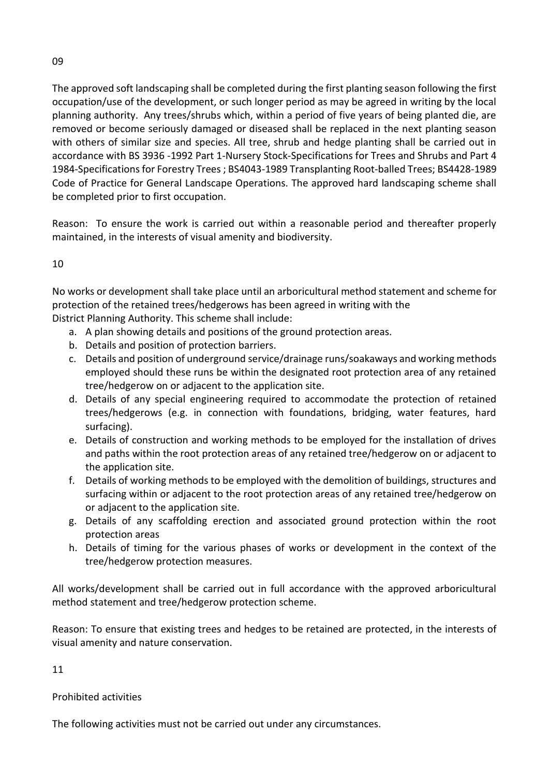The approved soft landscaping shall be completed during the first planting season following the first occupation/use of the development, or such longer period as may be agreed in writing by the local planning authority. Any trees/shrubs which, within a period of five years of being planted die, are removed or become seriously damaged or diseased shall be replaced in the next planting season with others of similar size and species. All tree, shrub and hedge planting shall be carried out in accordance with BS 3936 -1992 Part 1-Nursery Stock-Specifications for Trees and Shrubs and Part 4 1984-Specifications for Forestry Trees ; BS4043-1989 Transplanting Root-balled Trees; BS4428-1989 Code of Practice for General Landscape Operations. The approved hard landscaping scheme shall be completed prior to first occupation.

Reason: To ensure the work is carried out within a reasonable period and thereafter properly maintained, in the interests of visual amenity and biodiversity.

10

No works or development shall take place until an arboricultural method statement and scheme for protection of the retained trees/hedgerows has been agreed in writing with the District Planning Authority. This scheme shall include:

- a. A plan showing details and positions of the ground protection areas.
- b. Details and position of protection barriers.
- c. Details and position of underground service/drainage runs/soakaways and working methods employed should these runs be within the designated root protection area of any retained tree/hedgerow on or adjacent to the application site.
- d. Details of any special engineering required to accommodate the protection of retained trees/hedgerows (e.g. in connection with foundations, bridging, water features, hard surfacing).
- e. Details of construction and working methods to be employed for the installation of drives and paths within the root protection areas of any retained tree/hedgerow on or adjacent to the application site.
- f. Details of working methods to be employed with the demolition of buildings, structures and surfacing within or adjacent to the root protection areas of any retained tree/hedgerow on or adjacent to the application site.
- g. Details of any scaffolding erection and associated ground protection within the root protection areas
- h. Details of timing for the various phases of works or development in the context of the tree/hedgerow protection measures.

All works/development shall be carried out in full accordance with the approved arboricultural method statement and tree/hedgerow protection scheme.

Reason: To ensure that existing trees and hedges to be retained are protected, in the interests of visual amenity and nature conservation.

11

Prohibited activities

The following activities must not be carried out under any circumstances.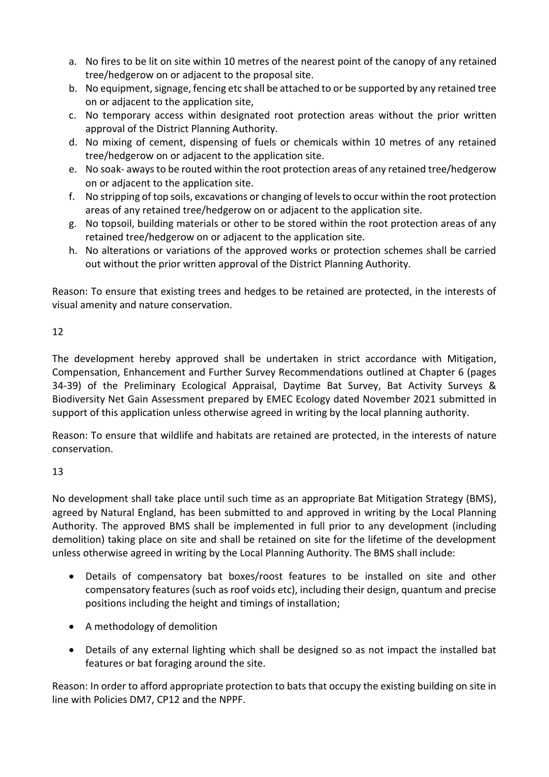- a. No fires to be lit on site within 10 metres of the nearest point of the canopy of any retained tree/hedgerow on or adjacent to the proposal site.
- b. No equipment, signage, fencing etc shall be attached to or be supported by any retained tree on or adjacent to the application site,
- c. No temporary access within designated root protection areas without the prior written approval of the District Planning Authority.
- d. No mixing of cement, dispensing of fuels or chemicals within 10 metres of any retained tree/hedgerow on or adjacent to the application site.
- e. No soak- aways to be routed within the root protection areas of any retained tree/hedgerow on or adjacent to the application site.
- f. No stripping of top soils, excavations or changing of levels to occur within the root protection areas of any retained tree/hedgerow on or adjacent to the application site.
- g. No topsoil, building materials or other to be stored within the root protection areas of any retained tree/hedgerow on or adjacent to the application site.
- h. No alterations or variations of the approved works or protection schemes shall be carried out without the prior written approval of the District Planning Authority.

Reason: To ensure that existing trees and hedges to be retained are protected, in the interests of visual amenity and nature conservation.

# 12

The development hereby approved shall be undertaken in strict accordance with Mitigation, Compensation, Enhancement and Further Survey Recommendations outlined at Chapter 6 (pages 34-39) of the Preliminary Ecological Appraisal, Daytime Bat Survey, Bat Activity Surveys & Biodiversity Net Gain Assessment prepared by EMEC Ecology dated November 2021 submitted in support of this application unless otherwise agreed in writing by the local planning authority.

Reason: To ensure that wildlife and habitats are retained are protected, in the interests of nature conservation.

# 13

No development shall take place until such time as an appropriate Bat Mitigation Strategy (BMS), agreed by Natural England, has been submitted to and approved in writing by the Local Planning Authority. The approved BMS shall be implemented in full prior to any development (including demolition) taking place on site and shall be retained on site for the lifetime of the development unless otherwise agreed in writing by the Local Planning Authority. The BMS shall include:

- Details of compensatory bat boxes/roost features to be installed on site and other compensatory features (such as roof voids etc), including their design, quantum and precise positions including the height and timings of installation;
- A methodology of demolition
- Details of any external lighting which shall be designed so as not impact the installed bat features or bat foraging around the site.

Reason: In order to afford appropriate protection to bats that occupy the existing building on site in line with Policies DM7, CP12 and the NPPF.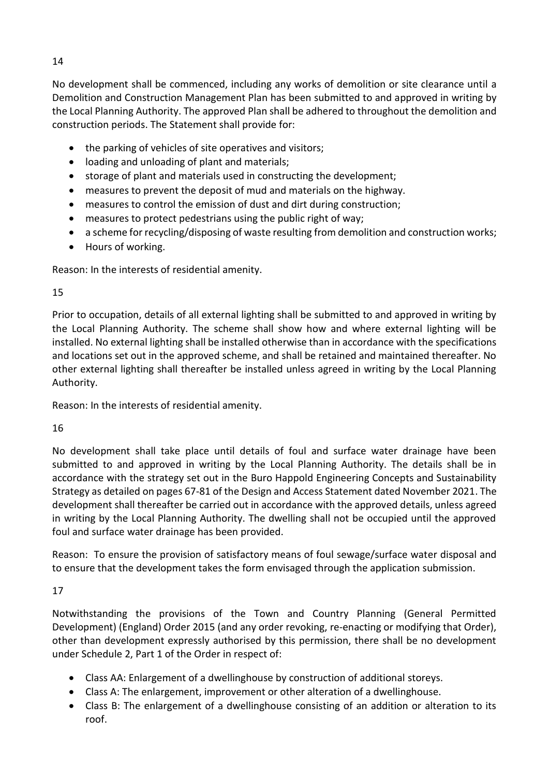14

No development shall be commenced, including any works of demolition or site clearance until a Demolition and Construction Management Plan has been submitted to and approved in writing by the Local Planning Authority. The approved Plan shall be adhered to throughout the demolition and construction periods. The Statement shall provide for:

- the parking of vehicles of site operatives and visitors;
- loading and unloading of plant and materials;
- storage of plant and materials used in constructing the development;
- measures to prevent the deposit of mud and materials on the highway.
- measures to control the emission of dust and dirt during construction;
- measures to protect pedestrians using the public right of way;
- a scheme for recycling/disposing of waste resulting from demolition and construction works;
- Hours of working.

Reason: In the interests of residential amenity.

# 15

Prior to occupation, details of all external lighting shall be submitted to and approved in writing by the Local Planning Authority. The scheme shall show how and where external lighting will be installed. No external lighting shall be installed otherwise than in accordance with the specifications and locations set out in the approved scheme, and shall be retained and maintained thereafter. No other external lighting shall thereafter be installed unless agreed in writing by the Local Planning Authority.

Reason: In the interests of residential amenity.

# 16

No development shall take place until details of foul and surface water drainage have been submitted to and approved in writing by the Local Planning Authority. The details shall be in accordance with the strategy set out in the Buro Happold Engineering Concepts and Sustainability Strategy as detailed on pages 67-81 of the Design and Access Statement dated November 2021. The development shall thereafter be carried out in accordance with the approved details, unless agreed in writing by the Local Planning Authority. The dwelling shall not be occupied until the approved foul and surface water drainage has been provided.

Reason: To ensure the provision of satisfactory means of foul sewage/surface water disposal and to ensure that the development takes the form envisaged through the application submission.

17

Notwithstanding the provisions of the Town and Country Planning (General Permitted Development) (England) Order 2015 (and any order revoking, re-enacting or modifying that Order), other than development expressly authorised by this permission, there shall be no development under Schedule 2, Part 1 of the Order in respect of:

- Class AA: Enlargement of a dwellinghouse by construction of additional storeys.
- Class A: The enlargement, improvement or other alteration of a dwellinghouse.
- Class B: The enlargement of a dwellinghouse consisting of an addition or alteration to its roof.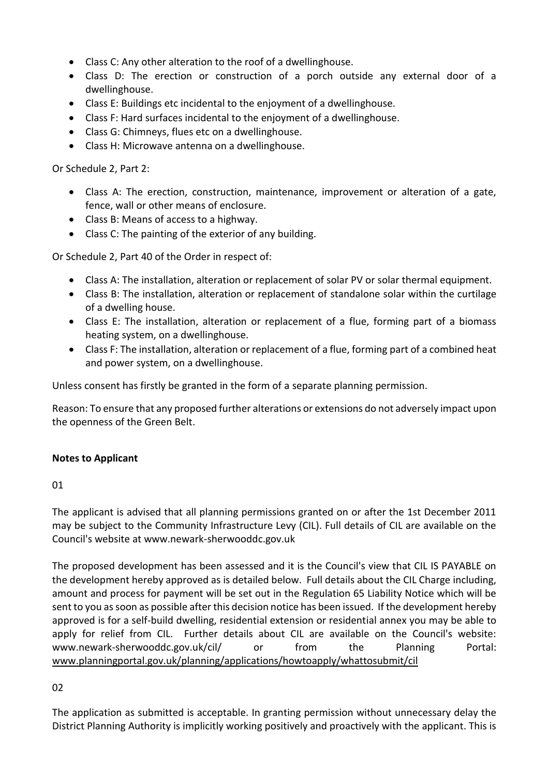- Class C: Any other alteration to the roof of a dwellinghouse.
- Class D: The erection or construction of a porch outside any external door of a dwellinghouse.
- Class E: Buildings etc incidental to the enjoyment of a dwellinghouse.
- Class F: Hard surfaces incidental to the enjoyment of a dwellinghouse.
- Class G: Chimneys, flues etc on a dwellinghouse.
- Class H: Microwave antenna on a dwellinghouse.

Or Schedule 2, Part 2:

- Class A: The erection, construction, maintenance, improvement or alteration of a gate, fence, wall or other means of enclosure.
- Class B: Means of access to a highway.
- Class C: The painting of the exterior of any building.

Or Schedule 2, Part 40 of the Order in respect of:

- Class A: The installation, alteration or replacement of solar PV or solar thermal equipment.
- Class B: The installation, alteration or replacement of standalone solar within the curtilage of a dwelling house.
- Class E: The installation, alteration or replacement of a flue, forming part of a biomass heating system, on a dwellinghouse.
- Class F: The installation, alteration or replacement of a flue, forming part of a combined heat and power system, on a dwellinghouse.

Unless consent has firstly be granted in the form of a separate planning permission.

Reason: To ensure that any proposed further alterations or extensions do not adversely impact upon the openness of the Green Belt.

### **Notes to Applicant**

01

The applicant is advised that all planning permissions granted on or after the 1st December 2011 may be subject to the Community Infrastructure Levy (CIL). Full details of CIL are available on the Council's website at www.newark-sherwooddc.gov.uk

The proposed development has been assessed and it is the Council's view that CIL IS PAYABLE on the development hereby approved as is detailed below. Full details about the CIL Charge including, amount and process for payment will be set out in the Regulation 65 Liability Notice which will be sent to you as soon as possible after this decision notice has been issued. If the development hereby approved is for a self-build dwelling, residential extension or residential annex you may be able to apply for relief from CIL. Further details about CIL are available on the Council's website: www.newark-sherwooddc.gov.uk/cil/ or from the Planning Portal: [www.planningportal.gov.uk/planning/applications/howtoapply/whattosubmit/cil](http://www.planningportal.gov.uk/planning/applications/howtoapply/whattosubmit/cil)

#### 02

The application as submitted is acceptable. In granting permission without unnecessary delay the District Planning Authority is implicitly working positively and proactively with the applicant. This is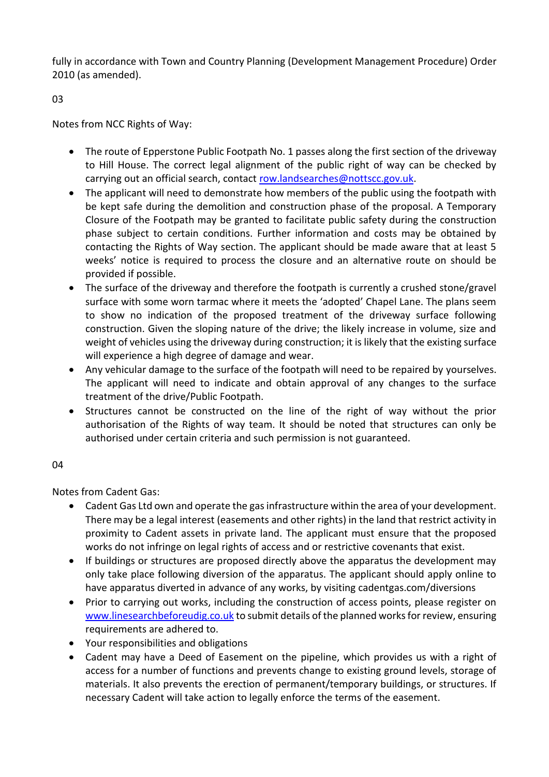fully in accordance with Town and Country Planning (Development Management Procedure) Order 2010 (as amended).

03

Notes from NCC Rights of Way:

- The route of Epperstone Public Footpath No. 1 passes along the first section of the driveway to Hill House. The correct legal alignment of the public right of way can be checked by carrying out an official search, contact [row.landsearches@nottscc.gov.uk.](mailto:row.landsearches@nottscc.gov.uk)
- The applicant will need to demonstrate how members of the public using the footpath with be kept safe during the demolition and construction phase of the proposal. A Temporary Closure of the Footpath may be granted to facilitate public safety during the construction phase subject to certain conditions. Further information and costs may be obtained by contacting the Rights of Way section. The applicant should be made aware that at least 5 weeks' notice is required to process the closure and an alternative route on should be provided if possible.
- The surface of the driveway and therefore the footpath is currently a crushed stone/gravel surface with some worn tarmac where it meets the 'adopted' Chapel Lane. The plans seem to show no indication of the proposed treatment of the driveway surface following construction. Given the sloping nature of the drive; the likely increase in volume, size and weight of vehicles using the driveway during construction; it is likely that the existing surface will experience a high degree of damage and wear.
- Any vehicular damage to the surface of the footpath will need to be repaired by yourselves. The applicant will need to indicate and obtain approval of any changes to the surface treatment of the drive/Public Footpath.
- Structures cannot be constructed on the line of the right of way without the prior authorisation of the Rights of way team. It should be noted that structures can only be authorised under certain criteria and such permission is not guaranteed.

04

Notes from Cadent Gas:

- Cadent Gas Ltd own and operate the gas infrastructure within the area of your development. There may be a legal interest (easements and other rights) in the land that restrict activity in proximity to Cadent assets in private land. The applicant must ensure that the proposed works do not infringe on legal rights of access and or restrictive covenants that exist.
- If buildings or structures are proposed directly above the apparatus the development may only take place following diversion of the apparatus. The applicant should apply online to have apparatus diverted in advance of any works, by visiting cadentgas.com/diversions
- Prior to carrying out works, including the construction of access points, please register on [www.linesearchbeforeudig.co.uk](http://www.linesearchbeforeudig.co.uk/) to submit details of the planned works for review, ensuring requirements are adhered to.
- Your responsibilities and obligations
- Cadent may have a Deed of Easement on the pipeline, which provides us with a right of access for a number of functions and prevents change to existing ground levels, storage of materials. It also prevents the erection of permanent/temporary buildings, or structures. If necessary Cadent will take action to legally enforce the terms of the easement.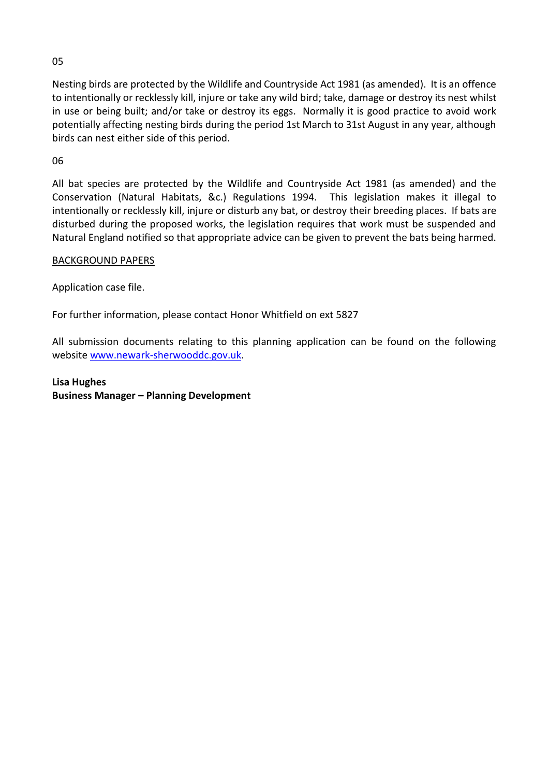05

Nesting birds are protected by the Wildlife and Countryside Act 1981 (as amended). It is an offence to intentionally or recklessly kill, injure or take any wild bird; take, damage or destroy its nest whilst in use or being built; and/or take or destroy its eggs. Normally it is good practice to avoid work potentially affecting nesting birds during the period 1st March to 31st August in any year, although birds can nest either side of this period.

06

All bat species are protected by the Wildlife and Countryside Act 1981 (as amended) and the Conservation (Natural Habitats, &c.) Regulations 1994. This legislation makes it illegal to intentionally or recklessly kill, injure or disturb any bat, or destroy their breeding places. If bats are disturbed during the proposed works, the legislation requires that work must be suspended and Natural England notified so that appropriate advice can be given to prevent the bats being harmed.

BACKGROUND PAPERS

Application case file.

For further information, please contact Honor Whitfield on ext 5827

All submission documents relating to this planning application can be found on the following websit[e www.newark-sherwooddc.gov.uk.](http://www.newark-sherwooddc.gov.uk/)

**Lisa Hughes Business Manager – Planning Development**